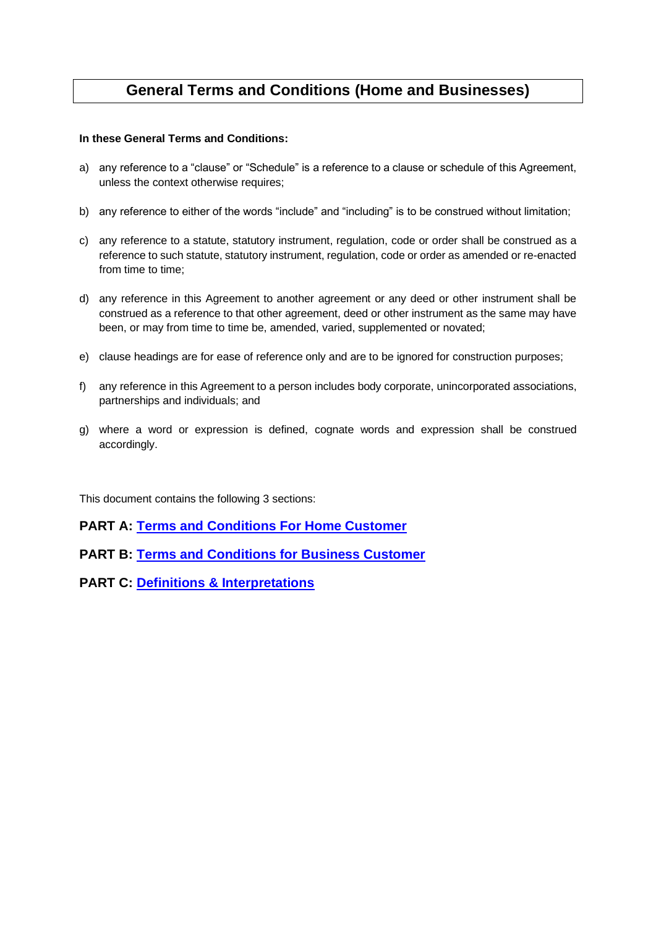# **General Terms and Conditions (Home and Businesses)**

## **In these General Terms and Conditions:**

- a) any reference to a "clause" or "Schedule" is a reference to a clause or schedule of this Agreement, unless the context otherwise requires;
- b) any reference to either of the words "include" and "including" is to be construed without limitation;
- c) any reference to a statute, statutory instrument, regulation, code or order shall be construed as a reference to such statute, statutory instrument, regulation, code or order as amended or re-enacted from time to time:
- d) any reference in this Agreement to another agreement or any deed or other instrument shall be construed as a reference to that other agreement, deed or other instrument as the same may have been, or may from time to time be, amended, varied, supplemented or novated;
- e) clause headings are for ease of reference only and are to be ignored for construction purposes;
- f) any reference in this Agreement to a person includes body corporate, unincorporated associations, partnerships and individuals; and
- g) where a word or expression is defined, cognate words and expression shall be construed accordingly.

This document contains the following 3 sections:

## **PART A: [Terms and Conditions For Home Customer](#page-1-0)**

**PART B: [Terms and Conditions for Business Customer](#page-13-0)**

**PART C: [Definitions & Interpretations](#page-27-0)**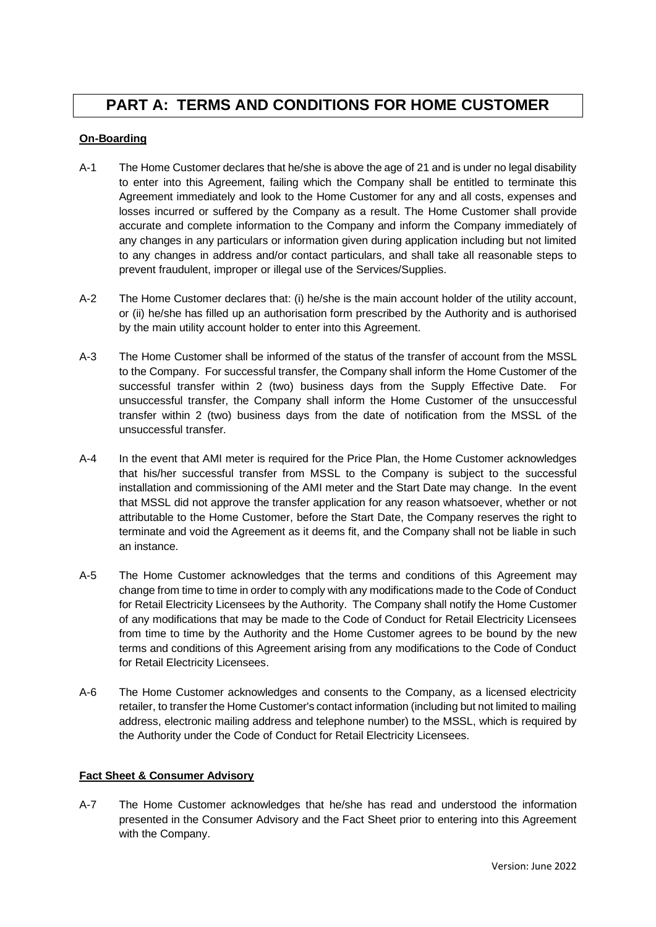# <span id="page-1-0"></span>**PART A: TERMS AND CONDITIONS FOR HOME CUSTOMER**

## **On-Boarding**

- A-1 The Home Customer declares that he/she is above the age of 21 and is under no legal disability to enter into this Agreement, failing which the Company shall be entitled to terminate this Agreement immediately and look to the Home Customer for any and all costs, expenses and losses incurred or suffered by the Company as a result. The Home Customer shall provide accurate and complete information to the Company and inform the Company immediately of any changes in any particulars or information given during application including but not limited to any changes in address and/or contact particulars, and shall take all reasonable steps to prevent fraudulent, improper or illegal use of the Services/Supplies.
- A-2 The Home Customer declares that: (i) he/she is the main account holder of the utility account, or (ii) he/she has filled up an authorisation form prescribed by the Authority and is authorised by the main utility account holder to enter into this Agreement.
- A-3 The Home Customer shall be informed of the status of the transfer of account from the MSSL to the Company. For successful transfer, the Company shall inform the Home Customer of the successful transfer within 2 (two) business days from the Supply Effective Date. For unsuccessful transfer, the Company shall inform the Home Customer of the unsuccessful transfer within 2 (two) business days from the date of notification from the MSSL of the unsuccessful transfer.
- A-4 In the event that AMI meter is required for the Price Plan, the Home Customer acknowledges that his/her successful transfer from MSSL to the Company is subject to the successful installation and commissioning of the AMI meter and the Start Date may change. In the event that MSSL did not approve the transfer application for any reason whatsoever, whether or not attributable to the Home Customer, before the Start Date, the Company reserves the right to terminate and void the Agreement as it deems fit, and the Company shall not be liable in such an instance.
- A-5 The Home Customer acknowledges that the terms and conditions of this Agreement may change from time to time in order to comply with any modifications made to the Code of Conduct for Retail Electricity Licensees by the Authority. The Company shall notify the Home Customer of any modifications that may be made to the Code of Conduct for Retail Electricity Licensees from time to time by the Authority and the Home Customer agrees to be bound by the new terms and conditions of this Agreement arising from any modifications to the Code of Conduct for Retail Electricity Licensees.
- A-6 The Home Customer acknowledges and consents to the Company, as a licensed electricity retailer, to transfer the Home Customer's contact information (including but not limited to mailing address, electronic mailing address and telephone number) to the MSSL, which is required by the Authority under the Code of Conduct for Retail Electricity Licensees.

## **Fact Sheet & Consumer Advisory**

A-7 The Home Customer acknowledges that he/she has read and understood the information presented in the Consumer Advisory and the Fact Sheet prior to entering into this Agreement with the Company.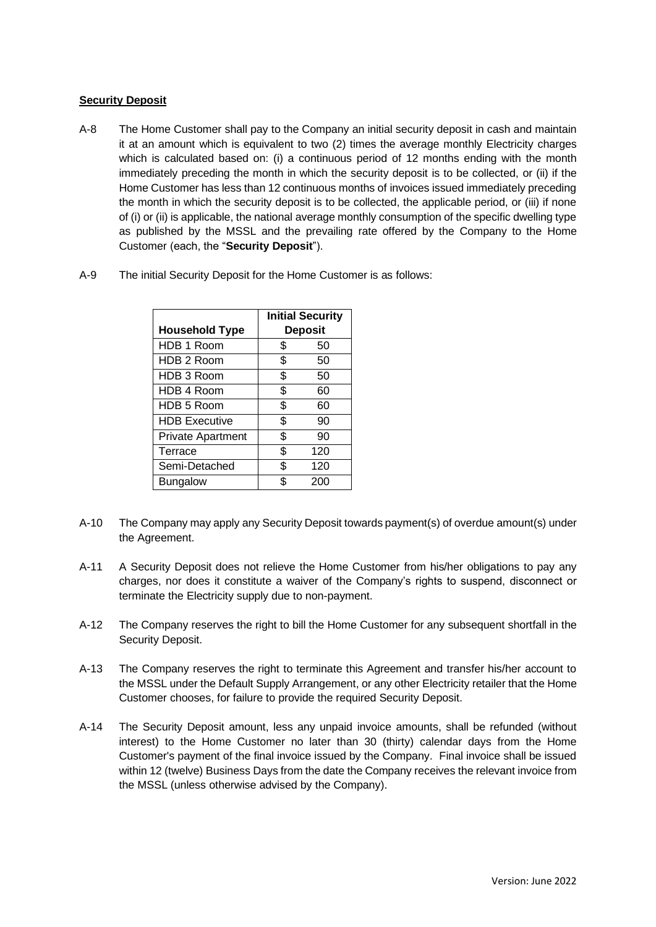## **Security Deposit**

- A-8 The Home Customer shall pay to the Company an initial security deposit in cash and maintain it at an amount which is equivalent to two (2) times the average monthly Electricity charges which is calculated based on: (i) a continuous period of 12 months ending with the month immediately preceding the month in which the security deposit is to be collected, or (ii) if the Home Customer has less than 12 continuous months of invoices issued immediately preceding the month in which the security deposit is to be collected, the applicable period, or (iii) if none of (i) or (ii) is applicable, the national average monthly consumption of the specific dwelling type as published by the MSSL and the prevailing rate offered by the Company to the Home Customer (each, the "**Security Deposit**").
- A-9 The initial Security Deposit for the Home Customer is as follows:

|                          | <b>Initial Security</b> |     |
|--------------------------|-------------------------|-----|
| <b>Household Type</b>    | <b>Deposit</b>          |     |
| HDB 1 Room               | \$                      | 50  |
| HDB 2 Room               | \$                      | 50  |
| HDB 3 Room               | \$                      | 50  |
| HDB 4 Room               | \$                      | 60  |
| HDB 5 Room               | \$                      | 60  |
| <b>HDB Executive</b>     | \$                      | 90  |
| <b>Private Apartment</b> | \$                      | 90  |
| Terrace                  | \$                      | 120 |
| Semi-Detached            | \$                      | 120 |
| <b>Bungalow</b>          | \$                      | 200 |

- A-10 The Company may apply any Security Deposit towards payment(s) of overdue amount(s) under the Agreement.
- A-11 A Security Deposit does not relieve the Home Customer from his/her obligations to pay any charges, nor does it constitute a waiver of the Company's rights to suspend, disconnect or terminate the Electricity supply due to non-payment.
- A-12 The Company reserves the right to bill the Home Customer for any subsequent shortfall in the Security Deposit.
- A-13 The Company reserves the right to terminate this Agreement and transfer his/her account to the MSSL under the Default Supply Arrangement, or any other Electricity retailer that the Home Customer chooses, for failure to provide the required Security Deposit.
- A-14 The Security Deposit amount, less any unpaid invoice amounts, shall be refunded (without interest) to the Home Customer no later than 30 (thirty) calendar days from the Home Customer's payment of the final invoice issued by the Company. Final invoice shall be issued within 12 (twelve) Business Days from the date the Company receives the relevant invoice from the MSSL (unless otherwise advised by the Company).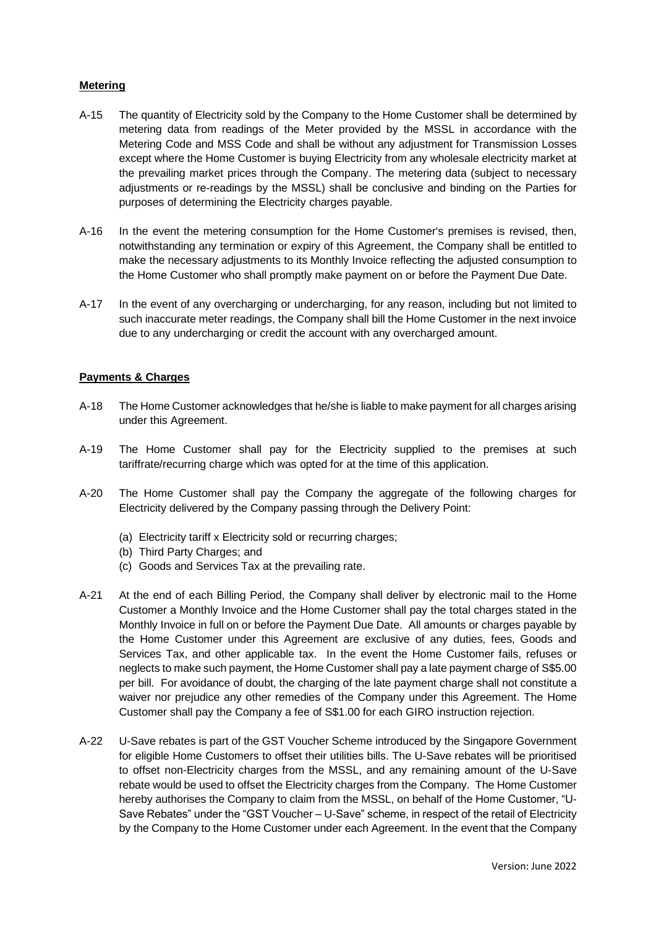## **Metering**

- A-15 The quantity of Electricity sold by the Company to the Home Customer shall be determined by metering data from readings of the Meter provided by the MSSL in accordance with the Metering Code and MSS Code and shall be without any adjustment for Transmission Losses except where the Home Customer is buying Electricity from any wholesale electricity market at the prevailing market prices through the Company. The metering data (subject to necessary adjustments or re-readings by the MSSL) shall be conclusive and binding on the Parties for purposes of determining the Electricity charges payable.
- A-16 In the event the metering consumption for the Home Customer's premises is revised, then, notwithstanding any termination or expiry of this Agreement, the Company shall be entitled to make the necessary adjustments to its Monthly Invoice reflecting the adjusted consumption to the Home Customer who shall promptly make payment on or before the Payment Due Date.
- A-17 In the event of any overcharging or undercharging, for any reason, including but not limited to such inaccurate meter readings, the Company shall bill the Home Customer in the next invoice due to any undercharging or credit the account with any overcharged amount.

## **Payments & Charges**

- A-18 The Home Customer acknowledges that he/she is liable to make payment for all charges arising under this Agreement.
- A-19 The Home Customer shall pay for the Electricity supplied to the premises at such tariffrate/recurring charge which was opted for at the time of this application.
- A-20 The Home Customer shall pay the Company the aggregate of the following charges for Electricity delivered by the Company passing through the Delivery Point:
	- (a) Electricity tariff x Electricity sold or recurring charges;
	- (b) Third Party Charges; and
	- (c) Goods and Services Tax at the prevailing rate.
- A-21 At the end of each Billing Period, the Company shall deliver by electronic mail to the Home Customer a Monthly Invoice and the Home Customer shall pay the total charges stated in the Monthly Invoice in full on or before the Payment Due Date. All amounts or charges payable by the Home Customer under this Agreement are exclusive of any duties, fees, Goods and Services Tax, and other applicable tax. In the event the Home Customer fails, refuses or neglects to make such payment, the Home Customer shall pay a late payment charge of S\$5.00 per bill. For avoidance of doubt, the charging of the late payment charge shall not constitute a waiver nor prejudice any other remedies of the Company under this Agreement. The Home Customer shall pay the Company a fee of S\$1.00 for each GIRO instruction rejection.
- A-22 U-Save rebates is part of the GST Voucher Scheme introduced by the Singapore Government for eligible Home Customers to offset their utilities bills. The U-Save rebates will be prioritised to offset non-Electricity charges from the MSSL, and any remaining amount of the U-Save rebate would be used to offset the Electricity charges from the Company. The Home Customer hereby authorises the Company to claim from the MSSL, on behalf of the Home Customer, "U-Save Rebates" under the "GST Voucher – U-Save" scheme, in respect of the retail of Electricity by the Company to the Home Customer under each Agreement. In the event that the Company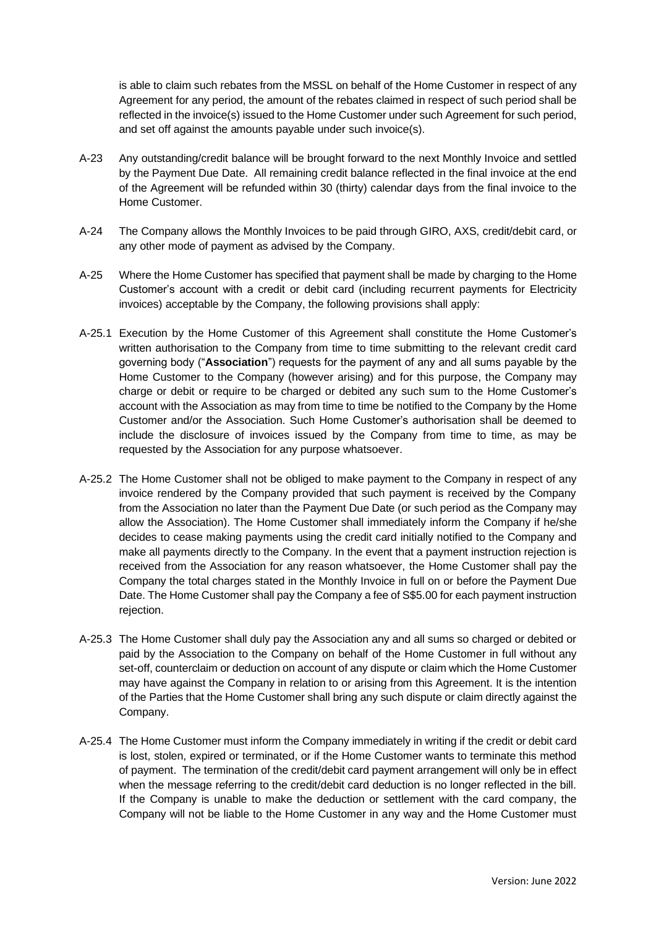is able to claim such rebates from the MSSL on behalf of the Home Customer in respect of any Agreement for any period, the amount of the rebates claimed in respect of such period shall be reflected in the invoice(s) issued to the Home Customer under such Agreement for such period, and set off against the amounts payable under such invoice(s).

- A-23 Any outstanding/credit balance will be brought forward to the next Monthly Invoice and settled by the Payment Due Date. All remaining credit balance reflected in the final invoice at the end of the Agreement will be refunded within 30 (thirty) calendar days from the final invoice to the Home Customer.
- A-24 The Company allows the Monthly Invoices to be paid through GIRO, AXS, credit/debit card, or any other mode of payment as advised by the Company.
- A-25 Where the Home Customer has specified that payment shall be made by charging to the Home Customer's account with a credit or debit card (including recurrent payments for Electricity invoices) acceptable by the Company, the following provisions shall apply:
- A-25.1 Execution by the Home Customer of this Agreement shall constitute the Home Customer's written authorisation to the Company from time to time submitting to the relevant credit card governing body ("**Association**") requests for the payment of any and all sums payable by the Home Customer to the Company (however arising) and for this purpose, the Company may charge or debit or require to be charged or debited any such sum to the Home Customer's account with the Association as may from time to time be notified to the Company by the Home Customer and/or the Association. Such Home Customer's authorisation shall be deemed to include the disclosure of invoices issued by the Company from time to time, as may be requested by the Association for any purpose whatsoever.
- A-25.2 The Home Customer shall not be obliged to make payment to the Company in respect of any invoice rendered by the Company provided that such payment is received by the Company from the Association no later than the Payment Due Date (or such period as the Company may allow the Association). The Home Customer shall immediately inform the Company if he/she decides to cease making payments using the credit card initially notified to the Company and make all payments directly to the Company. In the event that a payment instruction rejection is received from the Association for any reason whatsoever, the Home Customer shall pay the Company the total charges stated in the Monthly Invoice in full on or before the Payment Due Date. The Home Customer shall pay the Company a fee of S\$5.00 for each payment instruction rejection.
- A-25.3 The Home Customer shall duly pay the Association any and all sums so charged or debited or paid by the Association to the Company on behalf of the Home Customer in full without any set-off, counterclaim or deduction on account of any dispute or claim which the Home Customer may have against the Company in relation to or arising from this Agreement. It is the intention of the Parties that the Home Customer shall bring any such dispute or claim directly against the Company.
- A-25.4 The Home Customer must inform the Company immediately in writing if the credit or debit card is lost, stolen, expired or terminated, or if the Home Customer wants to terminate this method of payment. The termination of the credit/debit card payment arrangement will only be in effect when the message referring to the credit/debit card deduction is no longer reflected in the bill. If the Company is unable to make the deduction or settlement with the card company, the Company will not be liable to the Home Customer in any way and the Home Customer must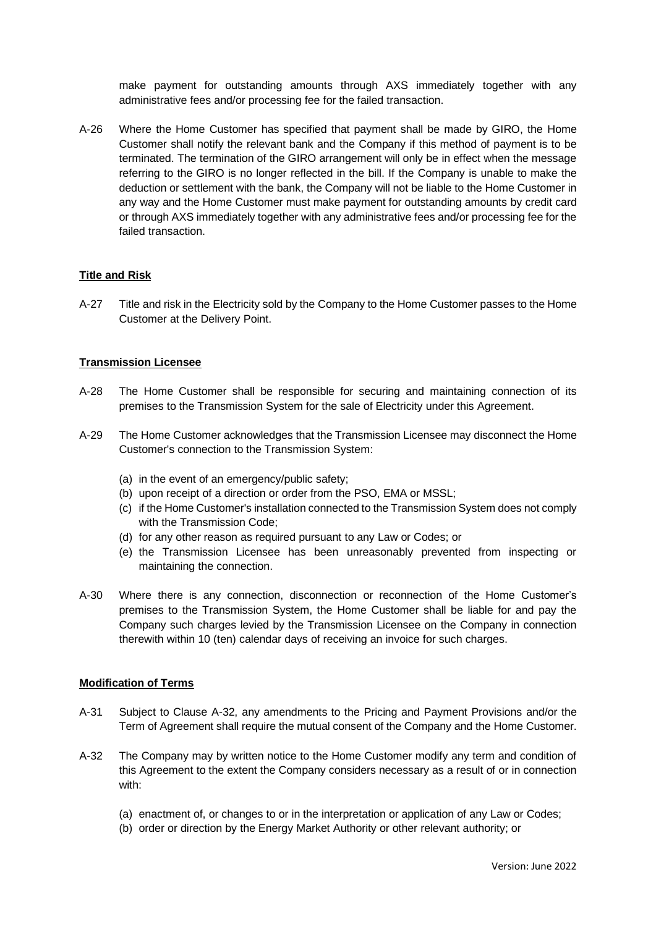make payment for outstanding amounts through AXS immediately together with any administrative fees and/or processing fee for the failed transaction.

A-26 Where the Home Customer has specified that payment shall be made by GIRO, the Home Customer shall notify the relevant bank and the Company if this method of payment is to be terminated. The termination of the GIRO arrangement will only be in effect when the message referring to the GIRO is no longer reflected in the bill. If the Company is unable to make the deduction or settlement with the bank, the Company will not be liable to the Home Customer in any way and the Home Customer must make payment for outstanding amounts by credit card or through AXS immediately together with any administrative fees and/or processing fee for the failed transaction.

#### **Title and Risk**

A-27 Title and risk in the Electricity sold by the Company to the Home Customer passes to the Home Customer at the Delivery Point.

#### **Transmission Licensee**

- A-28 The Home Customer shall be responsible for securing and maintaining connection of its premises to the Transmission System for the sale of Electricity under this Agreement.
- A-29 The Home Customer acknowledges that the Transmission Licensee may disconnect the Home Customer's connection to the Transmission System:
	- (a) in the event of an emergency/public safety;
	- (b) upon receipt of a direction or order from the PSO, EMA or MSSL;
	- (c) if the Home Customer's installation connected to the Transmission System does not comply with the Transmission Code;
	- (d) for any other reason as required pursuant to any Law or Codes; or
	- (e) the Transmission Licensee has been unreasonably prevented from inspecting or maintaining the connection.
- A-30 Where there is any connection, disconnection or reconnection of the Home Customer's premises to the Transmission System, the Home Customer shall be liable for and pay the Company such charges levied by the Transmission Licensee on the Company in connection therewith within 10 (ten) calendar days of receiving an invoice for such charges.

#### **Modification of Terms**

- A-31 Subject to Clause A-32, any amendments to the Pricing and Payment Provisions and/or the Term of Agreement shall require the mutual consent of the Company and the Home Customer.
- A-32 The Company may by written notice to the Home Customer modify any term and condition of this Agreement to the extent the Company considers necessary as a result of or in connection with:
	- (a) enactment of, or changes to or in the interpretation or application of any Law or Codes;
	- (b) order or direction by the Energy Market Authority or other relevant authority; or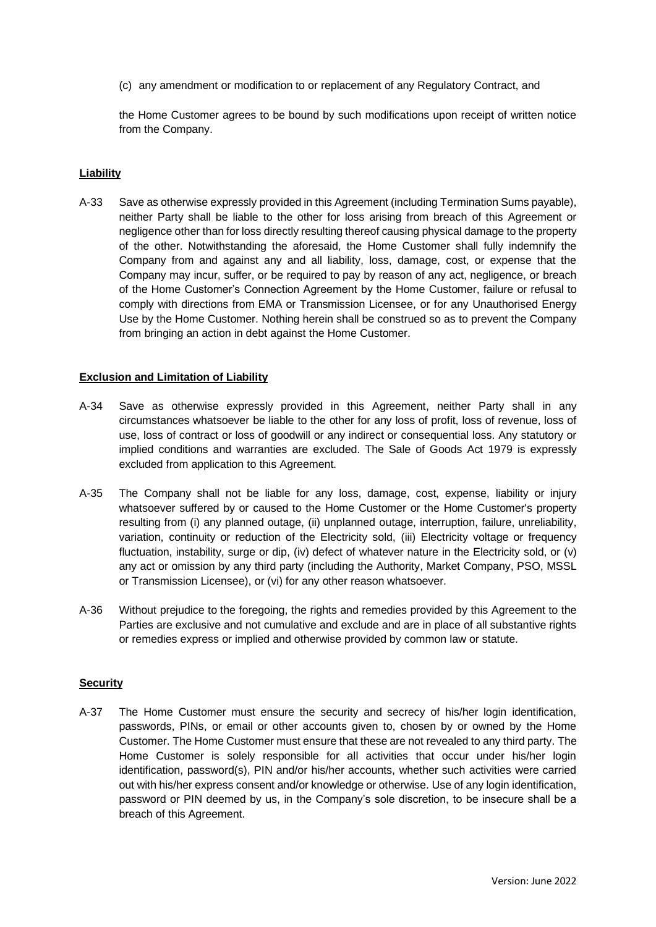(c) any amendment or modification to or replacement of any Regulatory Contract, and

the Home Customer agrees to be bound by such modifications upon receipt of written notice from the Company.

#### **Liability**

A-33 Save as otherwise expressly provided in this Agreement (including Termination Sums payable), neither Party shall be liable to the other for loss arising from breach of this Agreement or negligence other than for loss directly resulting thereof causing physical damage to the property of the other. Notwithstanding the aforesaid, the Home Customer shall fully indemnify the Company from and against any and all liability, loss, damage, cost, or expense that the Company may incur, suffer, or be required to pay by reason of any act, negligence, or breach of the Home Customer's Connection Agreement by the Home Customer, failure or refusal to comply with directions from EMA or Transmission Licensee, or for any Unauthorised Energy Use by the Home Customer. Nothing herein shall be construed so as to prevent the Company from bringing an action in debt against the Home Customer.

#### **Exclusion and Limitation of Liability**

- A-34 Save as otherwise expressly provided in this Agreement, neither Party shall in any circumstances whatsoever be liable to the other for any loss of profit, loss of revenue, loss of use, loss of contract or loss of goodwill or any indirect or consequential loss. Any statutory or implied conditions and warranties are excluded. The Sale of Goods Act 1979 is expressly excluded from application to this Agreement.
- A-35 The Company shall not be liable for any loss, damage, cost, expense, liability or injury whatsoever suffered by or caused to the Home Customer or the Home Customer's property resulting from (i) any planned outage, (ii) unplanned outage, interruption, failure, unreliability, variation, continuity or reduction of the Electricity sold, (iii) Electricity voltage or frequency fluctuation, instability, surge or dip, (iv) defect of whatever nature in the Electricity sold, or (v) any act or omission by any third party (including the Authority, Market Company, PSO, MSSL or Transmission Licensee), or (vi) for any other reason whatsoever.
- A-36 Without prejudice to the foregoing, the rights and remedies provided by this Agreement to the Parties are exclusive and not cumulative and exclude and are in place of all substantive rights or remedies express or implied and otherwise provided by common law or statute.

#### **Security**

A-37 The Home Customer must ensure the security and secrecy of his/her login identification, passwords, PINs, or email or other accounts given to, chosen by or owned by the Home Customer. The Home Customer must ensure that these are not revealed to any third party. The Home Customer is solely responsible for all activities that occur under his/her login identification, password(s), PIN and/or his/her accounts, whether such activities were carried out with his/her express consent and/or knowledge or otherwise. Use of any login identification, password or PIN deemed by us, in the Company's sole discretion, to be insecure shall be a breach of this Agreement.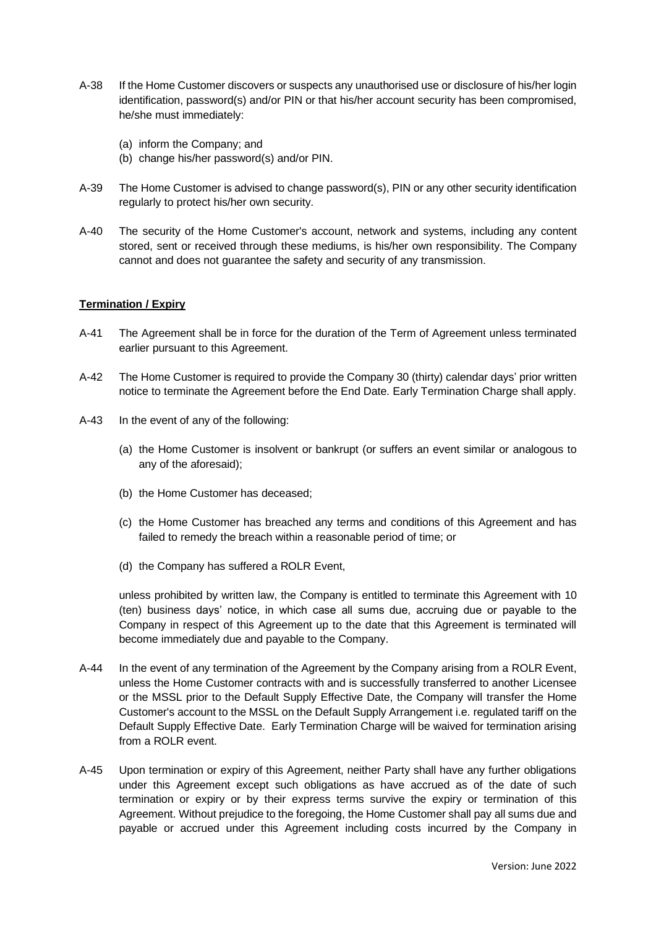- A-38 If the Home Customer discovers or suspects any unauthorised use or disclosure of his/her login identification, password(s) and/or PIN or that his/her account security has been compromised, he/she must immediately:
	- (a) inform the Company; and
	- (b) change his/her password(s) and/or PIN.
- A-39 The Home Customer is advised to change password(s), PIN or any other security identification regularly to protect his/her own security.
- A-40 The security of the Home Customer's account, network and systems, including any content stored, sent or received through these mediums, is his/her own responsibility. The Company cannot and does not guarantee the safety and security of any transmission.

#### **Termination / Expiry**

- A-41 The Agreement shall be in force for the duration of the Term of Agreement unless terminated earlier pursuant to this Agreement.
- <span id="page-7-0"></span>A-42 The Home Customer is required to provide the Company 30 (thirty) calendar days' prior written notice to terminate the Agreement before the End Date. Early Termination Charge shall apply.
- <span id="page-7-2"></span><span id="page-7-1"></span>A-43 In the event of any of the following:
	- (a) the Home Customer is insolvent or bankrupt (or suffers an event similar or analogous to any of the aforesaid);
	- (b) the Home Customer has deceased;
	- (c) the Home Customer has breached any terms and conditions of this Agreement and has failed to remedy the breach within a reasonable period of time; or
	- (d) the Company has suffered a ROLR Event,

<span id="page-7-3"></span>unless prohibited by written law, the Company is entitled to terminate this Agreement with 10 (ten) business days' notice, in which case all sums due, accruing due or payable to the Company in respect of this Agreement up to the date that this Agreement is terminated will become immediately due and payable to the Company.

- A-44 In the event of any termination of the Agreement by the Company arising from a ROLR Event, unless the Home Customer contracts with and is successfully transferred to another Licensee or the MSSL prior to the Default Supply Effective Date, the Company will transfer the Home Customer's account to the MSSL on the Default Supply Arrangement i.e. regulated tariff on the Default Supply Effective Date. Early Termination Charge will be waived for termination arising from a ROLR event.
- A-45 Upon termination or expiry of this Agreement, neither Party shall have any further obligations under this Agreement except such obligations as have accrued as of the date of such termination or expiry or by their express terms survive the expiry or termination of this Agreement. Without prejudice to the foregoing, the Home Customer shall pay all sums due and payable or accrued under this Agreement including costs incurred by the Company in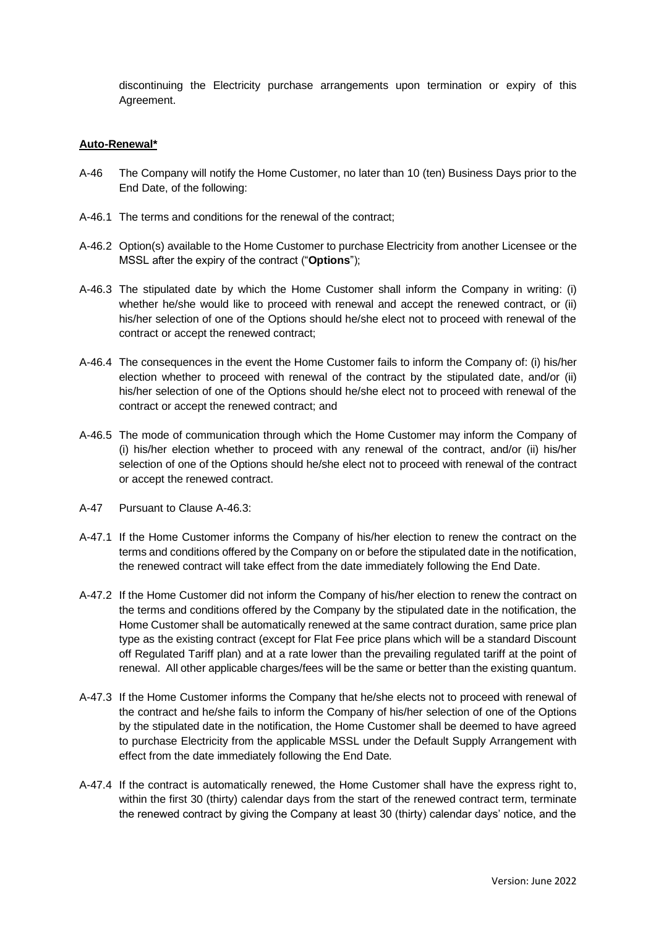discontinuing the Electricity purchase arrangements upon termination or expiry of this Agreement.

#### **Auto-Renewal\***

- A-46 The Company will notify the Home Customer, no later than 10 (ten) Business Days prior to the End Date, of the following:
- A-46.1 The terms and conditions for the renewal of the contract;
- A-46.2 Option(s) available to the Home Customer to purchase Electricity from another Licensee or the MSSL after the expiry of the contract ("**Options**");
- A-46.3 The stipulated date by which the Home Customer shall inform the Company in writing: (i) whether he/she would like to proceed with renewal and accept the renewed contract, or (ii) his/her selection of one of the Options should he/she elect not to proceed with renewal of the contract or accept the renewed contract;
- A-46.4 The consequences in the event the Home Customer fails to inform the Company of: (i) his/her election whether to proceed with renewal of the contract by the stipulated date, and/or (ii) his/her selection of one of the Options should he/she elect not to proceed with renewal of the contract or accept the renewed contract; and
- A-46.5 The mode of communication through which the Home Customer may inform the Company of (i) his/her election whether to proceed with any renewal of the contract, and/or (ii) his/her selection of one of the Options should he/she elect not to proceed with renewal of the contract or accept the renewed contract.
- A-47 Pursuant to Clause A-46.3:
- A-47.1 If the Home Customer informs the Company of his/her election to renew the contract on the terms and conditions offered by the Company on or before the stipulated date in the notification, the renewed contract will take effect from the date immediately following the End Date.
- A-47.2 If the Home Customer did not inform the Company of his/her election to renew the contract on the terms and conditions offered by the Company by the stipulated date in the notification, the Home Customer shall be automatically renewed at the same contract duration, same price plan type as the existing contract (except for Flat Fee price plans which will be a standard Discount off Regulated Tariff plan) and at a rate lower than the prevailing regulated tariff at the point of renewal. All other applicable charges/fees will be the same or better than the existing quantum.
- A-47.3 If the Home Customer informs the Company that he/she elects not to proceed with renewal of the contract and he/she fails to inform the Company of his/her selection of one of the Options by the stipulated date in the notification, the Home Customer shall be deemed to have agreed to purchase Electricity from the applicable MSSL under the Default Supply Arrangement with effect from the date immediately following the End Date.
- A-47.4 If the contract is automatically renewed, the Home Customer shall have the express right to, within the first 30 (thirty) calendar days from the start of the renewed contract term, terminate the renewed contract by giving the Company at least 30 (thirty) calendar days' notice, and the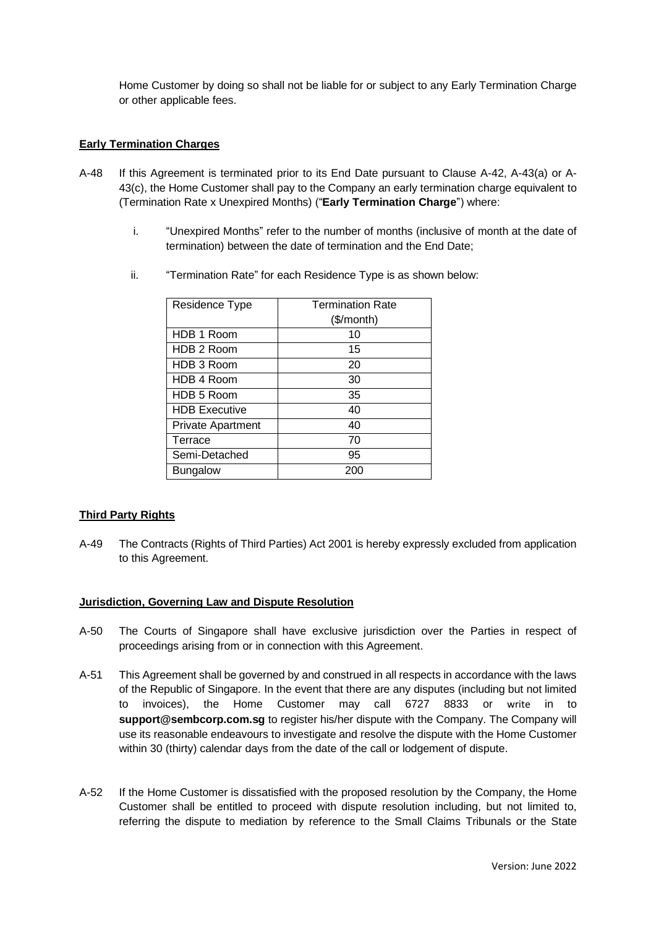Home Customer by doing so shall not be liable for or subject to any Early Termination Charge or other applicable fees.

## **Early Termination Charges**

- A-48 If this Agreement is terminated prior to its End Date pursuant to Clause [A-42,](#page-7-0) A-4[3\(a\)](#page-7-1) or [A-](#page-7-2)[43](#page-7-2)[\(c\),](#page-7-3) the Home Customer shall pay to the Company an early termination charge equivalent to (Termination Rate x Unexpired Months) ("**Early Termination Charge**") where:
	- i. "Unexpired Months" refer to the number of months (inclusive of month at the date of termination) between the date of termination and the End Date;

| Residence Type           | <b>Termination Rate</b><br>(\$/month) |
|--------------------------|---------------------------------------|
| HDB 1 Room               | 10                                    |
| HDB 2 Room               | 15                                    |
| HDB 3 Room               | 20                                    |
| HDB 4 Room               | 30                                    |
| HDB 5 Room               | 35                                    |
| <b>HDB Executive</b>     | 40                                    |
| <b>Private Apartment</b> | 40                                    |
| Terrace                  | 70                                    |
| Semi-Detached            | 95                                    |
| <b>Bungalow</b>          | 200                                   |

ii. "Termination Rate" for each Residence Type is as shown below:

## **Third Party Rights**

A-49 The Contracts (Rights of Third Parties) Act 2001 is hereby expressly excluded from application to this Agreement.

## **Jurisdiction, Governing Law and Dispute Resolution**

- A-50 The Courts of Singapore shall have exclusive jurisdiction over the Parties in respect of proceedings arising from or in connection with this Agreement.
- A-51 This Agreement shall be governed by and construed in all respects in accordance with the laws of the Republic of Singapore. In the event that there are any disputes (including but not limited to invoices), the Home Customer may call 6727 8833 or [write](file:///C:/Users/ramesh.tiwari/AppData/Local/Microsoft/Windows/Temporary%20Internet%20Files/Content.Outlook/C3YUO5EA/write) in to **support@sembcorp.com.sg** to register his/her dispute with the Company. The Company will use its reasonable endeavours to investigate and resolve the dispute with the Home Customer within 30 (thirty) calendar days from the date of the call or lodgement of dispute.
- A-52 If the Home Customer is dissatisfied with the proposed resolution by the Company, the Home Customer shall be entitled to proceed with dispute resolution including, but not limited to, referring the dispute to mediation by reference to the Small Claims Tribunals or the State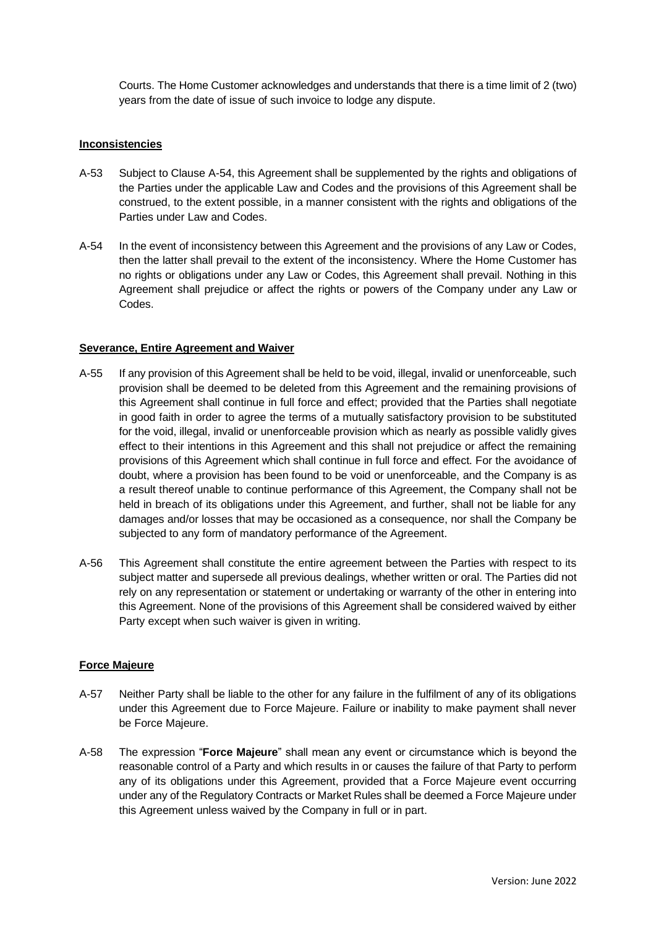Courts. The Home Customer acknowledges and understands that there is a time limit of 2 (two) years from the date of issue of such invoice to lodge any dispute.

#### **Inconsistencies**

- A-53 Subject to Clause A-54, this Agreement shall be supplemented by the rights and obligations of the Parties under the applicable Law and Codes and the provisions of this Agreement shall be construed, to the extent possible, in a manner consistent with the rights and obligations of the Parties under Law and Codes.
- A-54 In the event of inconsistency between this Agreement and the provisions of any Law or Codes, then the latter shall prevail to the extent of the inconsistency. Where the Home Customer has no rights or obligations under any Law or Codes, this Agreement shall prevail. Nothing in this Agreement shall prejudice or affect the rights or powers of the Company under any Law or Codes.

#### **Severance, Entire Agreement and Waiver**

- A-55 If any provision of this Agreement shall be held to be void, illegal, invalid or unenforceable, such provision shall be deemed to be deleted from this Agreement and the remaining provisions of this Agreement shall continue in full force and effect; provided that the Parties shall negotiate in good faith in order to agree the terms of a mutually satisfactory provision to be substituted for the void, illegal, invalid or unenforceable provision which as nearly as possible validly gives effect to their intentions in this Agreement and this shall not prejudice or affect the remaining provisions of this Agreement which shall continue in full force and effect. For the avoidance of doubt, where a provision has been found to be void or unenforceable, and the Company is as a result thereof unable to continue performance of this Agreement, the Company shall not be held in breach of its obligations under this Agreement, and further, shall not be liable for any damages and/or losses that may be occasioned as a consequence, nor shall the Company be subjected to any form of mandatory performance of the Agreement.
- A-56 This Agreement shall constitute the entire agreement between the Parties with respect to its subject matter and supersede all previous dealings, whether written or oral. The Parties did not rely on any representation or statement or undertaking or warranty of the other in entering into this Agreement. None of the provisions of this Agreement shall be considered waived by either Party except when such waiver is given in writing.

## **Force Majeure**

- A-57 Neither Party shall be liable to the other for any failure in the fulfilment of any of its obligations under this Agreement due to Force Majeure. Failure or inability to make payment shall never be Force Majeure.
- A-58 The expression "**Force Majeure**" shall mean any event or circumstance which is beyond the reasonable control of a Party and which results in or causes the failure of that Party to perform any of its obligations under this Agreement, provided that a Force Majeure event occurring under any of the Regulatory Contracts or Market Rules shall be deemed a Force Majeure under this Agreement unless waived by the Company in full or in part.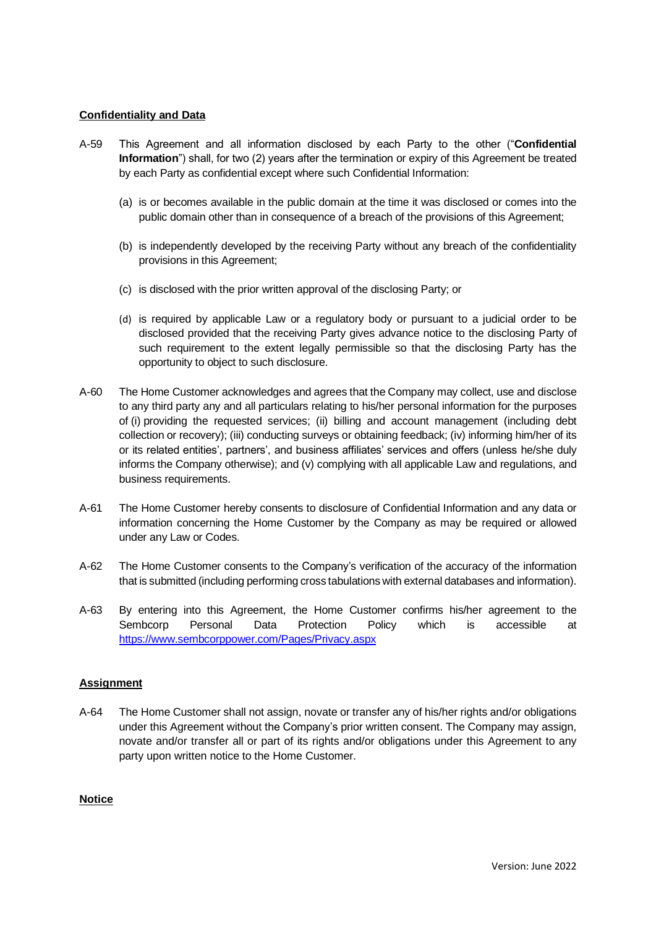## **Confidentiality and Data**

- A-59 This Agreement and all information disclosed by each Party to the other ("**Confidential Information**") shall, for two (2) years after the termination or expiry of this Agreement be treated by each Party as confidential except where such Confidential Information:
	- (a) is or becomes available in the public domain at the time it was disclosed or comes into the public domain other than in consequence of a breach of the provisions of this Agreement;
	- (b) is independently developed by the receiving Party without any breach of the confidentiality provisions in this Agreement;
	- (c) is disclosed with the prior written approval of the disclosing Party; or
	- (d) is required by applicable Law or a regulatory body or pursuant to a judicial order to be disclosed provided that the receiving Party gives advance notice to the disclosing Party of such requirement to the extent legally permissible so that the disclosing Party has the opportunity to object to such disclosure.
- A-60 The Home Customer acknowledges and agrees that the Company may collect, use and disclose to any third party any and all particulars relating to his/her personal information for the purposes of (i) providing the requested services; (ii) billing and account management (including debt collection or recovery); (iii) conducting surveys or obtaining feedback; (iv) informing him/her of its or its related entities', partners', and business affiliates' services and offers (unless he/she duly informs the Company otherwise); and (v) complying with all applicable Law and regulations, and business requirements.
- A-61 The Home Customer hereby consents to disclosure of Confidential Information and any data or information concerning the Home Customer by the Company as may be required or allowed under any Law or Codes.
- A-62 The Home Customer consents to the Company's verification of the accuracy of the information that is submitted (including performing cross tabulations with external databases and information).
- A-63 By entering into this Agreement, the Home Customer confirms his/her agreement to the Sembcorp Personal Data Protection Policy which is accessible at <https://www.sembcorppower.com/Pages/Privacy.aspx>

## **Assignment**

A-64 The Home Customer shall not assign, novate or transfer any of his/her rights and/or obligations under this Agreement without the Company's prior written consent. The Company may assign, novate and/or transfer all or part of its rights and/or obligations under this Agreement to any party upon written notice to the Home Customer.

#### **Notice**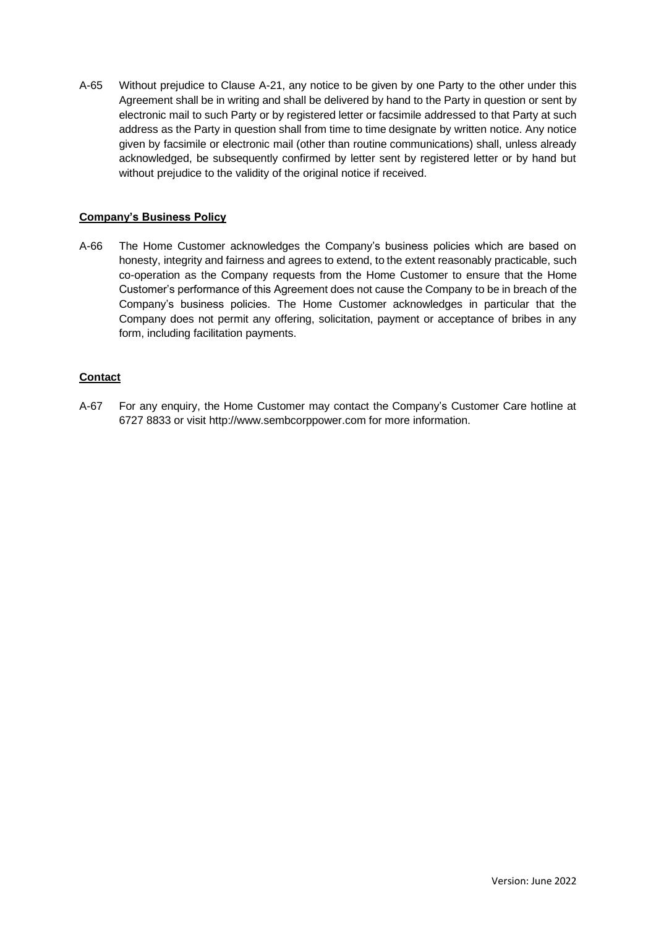A-65 Without prejudice to Clause A-21, any notice to be given by one Party to the other under this Agreement shall be in writing and shall be delivered by hand to the Party in question or sent by electronic mail to such Party or by registered letter or facsimile addressed to that Party at such address as the Party in question shall from time to time designate by written notice. Any notice given by facsimile or electronic mail (other than routine communications) shall, unless already acknowledged, be subsequently confirmed by letter sent by registered letter or by hand but without prejudice to the validity of the original notice if received.

## **Company's Business Policy**

A-66 The Home Customer acknowledges the Company's business policies which are based on honesty, integrity and fairness and agrees to extend, to the extent reasonably practicable, such co-operation as the Company requests from the Home Customer to ensure that the Home Customer's performance of this Agreement does not cause the Company to be in breach of the Company's business policies. The Home Customer acknowledges in particular that the Company does not permit any offering, solicitation, payment or acceptance of bribes in any form, including facilitation payments.

## **Contact**

A-67 For any enquiry, the Home Customer may contact the Company's Customer Care hotline at 6727 8833 or visit http://www.sembcorppower.com for more information.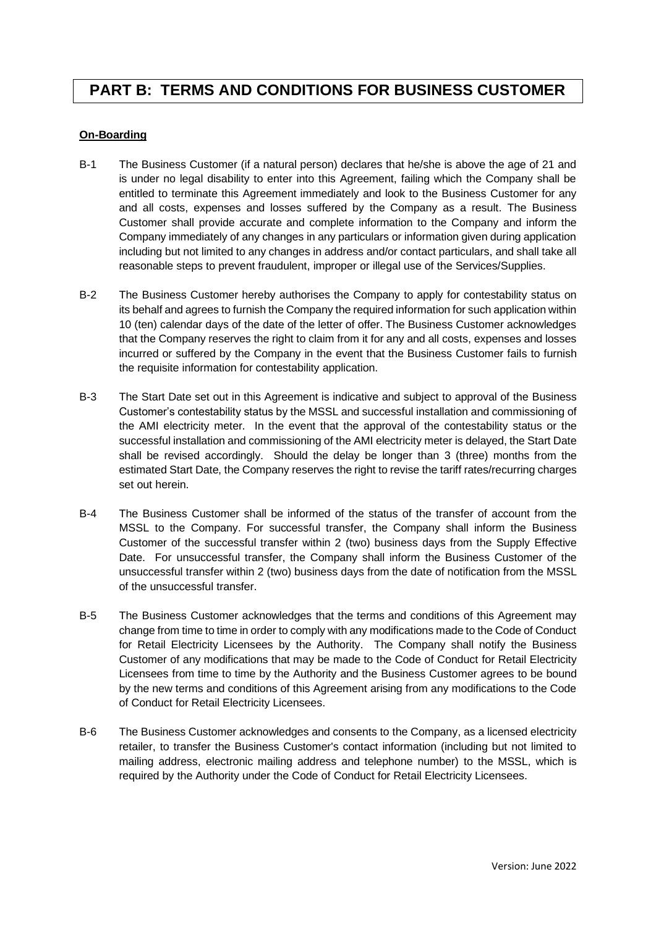## <span id="page-13-0"></span>**PART B: TERMS AND CONDITIONS FOR BUSINESS CUSTOMER**

## **On-Boarding**

- B-1 The Business Customer (if a natural person) declares that he/she is above the age of 21 and is under no legal disability to enter into this Agreement, failing which the Company shall be entitled to terminate this Agreement immediately and look to the Business Customer for any and all costs, expenses and losses suffered by the Company as a result. The Business Customer shall provide accurate and complete information to the Company and inform the Company immediately of any changes in any particulars or information given during application including but not limited to any changes in address and/or contact particulars, and shall take all reasonable steps to prevent fraudulent, improper or illegal use of the Services/Supplies.
- B-2 The Business Customer hereby authorises the Company to apply for contestability status on its behalf and agrees to furnish the Company the required information for such application within 10 (ten) calendar days of the date of the letter of offer. The Business Customer acknowledges that the Company reserves the right to claim from it for any and all costs, expenses and losses incurred or suffered by the Company in the event that the Business Customer fails to furnish the requisite information for contestability application.
- B-3 The Start Date set out in this Agreement is indicative and subject to approval of the Business Customer's contestability status by the MSSL and successful installation and commissioning of the AMI electricity meter. In the event that the approval of the contestability status or the successful installation and commissioning of the AMI electricity meter is delayed, the Start Date shall be revised accordingly. Should the delay be longer than 3 (three) months from the estimated Start Date, the Company reserves the right to revise the tariff rates/recurring charges set out herein.
- B-4 The Business Customer shall be informed of the status of the transfer of account from the MSSL to the Company. For successful transfer, the Company shall inform the Business Customer of the successful transfer within 2 (two) business days from the Supply Effective Date. For unsuccessful transfer, the Company shall inform the Business Customer of the unsuccessful transfer within 2 (two) business days from the date of notification from the MSSL of the unsuccessful transfer.
- B-5 The Business Customer acknowledges that the terms and conditions of this Agreement may change from time to time in order to comply with any modifications made to the Code of Conduct for Retail Electricity Licensees by the Authority. The Company shall notify the Business Customer of any modifications that may be made to the Code of Conduct for Retail Electricity Licensees from time to time by the Authority and the Business Customer agrees to be bound by the new terms and conditions of this Agreement arising from any modifications to the Code of Conduct for Retail Electricity Licensees.
- B-6 The Business Customer acknowledges and consents to the Company, as a licensed electricity retailer, to transfer the Business Customer's contact information (including but not limited to mailing address, electronic mailing address and telephone number) to the MSSL, which is required by the Authority under the Code of Conduct for Retail Electricity Licensees.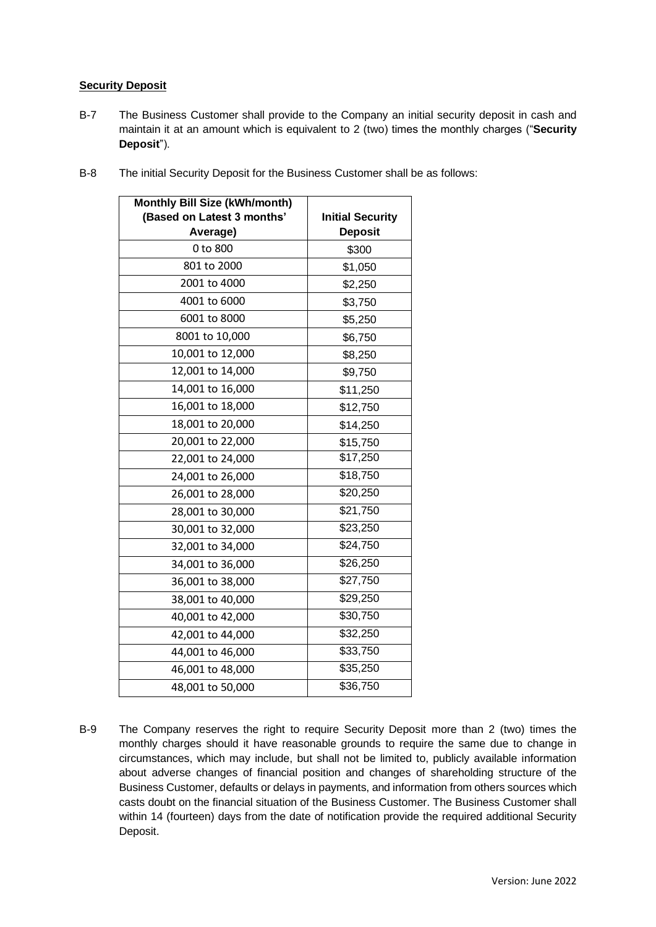## **Security Deposit**

B-7 The Business Customer shall provide to the Company an initial security deposit in cash and maintain it at an amount which is equivalent to 2 (two) times the monthly charges ("**Security Deposit**").

| <b>Monthly Bill Size (kWh/month)</b> |                         |
|--------------------------------------|-------------------------|
| (Based on Latest 3 months'           | <b>Initial Security</b> |
| Average)                             | <b>Deposit</b>          |
| 0 to 800                             | \$300                   |
| 801 to 2000                          | \$1,050                 |
| 2001 to 4000                         | \$2,250                 |
| 4001 to 6000                         | \$3,750                 |
| 6001 to 8000                         | \$5,250                 |
| 8001 to 10,000                       | \$6,750                 |
| 10,001 to 12,000                     | \$8,250                 |
| 12,001 to 14,000                     | \$9,750                 |
| 14,001 to 16,000                     | \$11,250                |
| 16,001 to 18,000                     | \$12,750                |
| 18,001 to 20,000                     | \$14,250                |
| 20,001 to 22,000                     | \$15,750                |
| 22,001 to 24,000                     | \$17,250                |
| 24,001 to 26,000                     | \$18,750                |
| 26,001 to 28,000                     | \$20,250                |
| 28,001 to 30,000                     | \$21,750                |
| 30,001 to 32,000                     | \$23,250                |
| 32,001 to 34,000                     | \$24,750                |
| 34,001 to 36,000                     | \$26,250                |
| 36,001 to 38,000                     | \$27,750                |
| 38,001 to 40,000                     | \$29,250                |
| 40,001 to 42,000                     | \$30,750                |
| 42,001 to 44,000                     | \$32,250                |
| 44,001 to 46,000                     | \$33,750                |
| 46,001 to 48,000                     | \$35,250                |
| 48,001 to 50,000                     | \$36,750                |

B-8 The initial Security Deposit for the Business Customer shall be as follows:

B-9 The Company reserves the right to require Security Deposit more than 2 (two) times the monthly charges should it have reasonable grounds to require the same due to change in circumstances, which may include, but shall not be limited to, publicly available information about adverse changes of financial position and changes of shareholding structure of the Business Customer, defaults or delays in payments, and information from others sources which casts doubt on the financial situation of the Business Customer. The Business Customer shall within 14 (fourteen) days from the date of notification provide the required additional Security Deposit.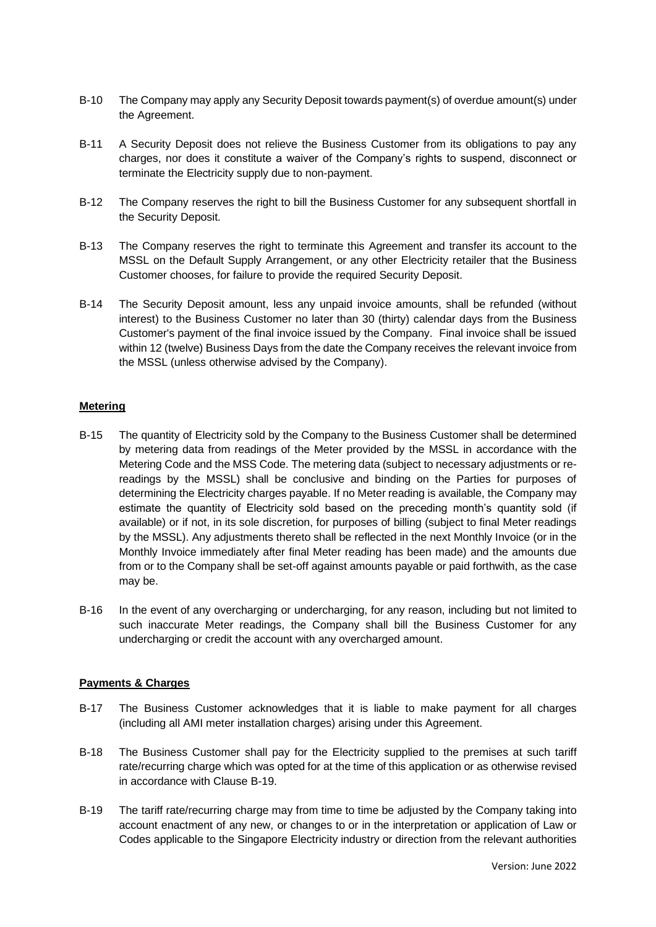- B-10 The Company may apply any Security Deposit towards payment(s) of overdue amount(s) under the Agreement.
- B-11 A Security Deposit does not relieve the Business Customer from its obligations to pay any charges, nor does it constitute a waiver of the Company's rights to suspend, disconnect or terminate the Electricity supply due to non-payment.
- B-12 The Company reserves the right to bill the Business Customer for any subsequent shortfall in the Security Deposit.
- B-13 The Company reserves the right to terminate this Agreement and transfer its account to the MSSL on the Default Supply Arrangement, or any other Electricity retailer that the Business Customer chooses, for failure to provide the required Security Deposit.
- B-14 The Security Deposit amount, less any unpaid invoice amounts, shall be refunded (without interest) to the Business Customer no later than 30 (thirty) calendar days from the Business Customer's payment of the final invoice issued by the Company. Final invoice shall be issued within 12 (twelve) Business Days from the date the Company receives the relevant invoice from the MSSL (unless otherwise advised by the Company).

## **Metering**

- B-15 The quantity of Electricity sold by the Company to the Business Customer shall be determined by metering data from readings of the Meter provided by the MSSL in accordance with the Metering Code and the MSS Code. The metering data (subject to necessary adjustments or rereadings by the MSSL) shall be conclusive and binding on the Parties for purposes of determining the Electricity charges payable. If no Meter reading is available, the Company may estimate the quantity of Electricity sold based on the preceding month's quantity sold (if available) or if not, in its sole discretion, for purposes of billing (subject to final Meter readings by the MSSL). Any adjustments thereto shall be reflected in the next Monthly Invoice (or in the Monthly Invoice immediately after final Meter reading has been made) and the amounts due from or to the Company shall be set-off against amounts payable or paid forthwith, as the case may be.
- B-16 In the event of any overcharging or undercharging, for any reason, including but not limited to such inaccurate Meter readings, the Company shall bill the Business Customer for any undercharging or credit the account with any overcharged amount.

## **Payments & Charges**

- B-17 The Business Customer acknowledges that it is liable to make payment for all charges (including all AMI meter installation charges) arising under this Agreement.
- B-18 The Business Customer shall pay for the Electricity supplied to the premises at such tariff rate/recurring charge which was opted for at the time of this application or as otherwise revised in accordance with Clause [B-19.](#page-15-0)
- <span id="page-15-0"></span>B-19 The tariff rate/recurring charge may from time to time be adjusted by the Company taking into account enactment of any new, or changes to or in the interpretation or application of Law or Codes applicable to the Singapore Electricity industry or direction from the relevant authorities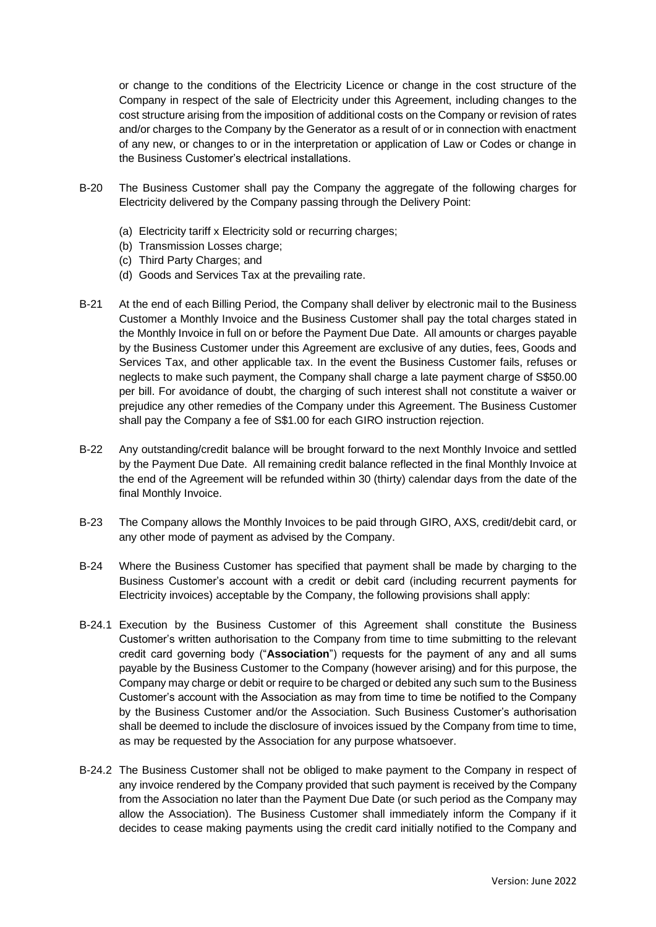or change to the conditions of the Electricity Licence or change in the cost structure of the Company in respect of the sale of Electricity under this Agreement, including changes to the cost structure arising from the imposition of additional costs on the Company or revision of rates and/or charges to the Company by the Generator as a result of or in connection with enactment of any new, or changes to or in the interpretation or application of Law or Codes or change in the Business Customer's electrical installations.

- B-20 The Business Customer shall pay the Company the aggregate of the following charges for Electricity delivered by the Company passing through the Delivery Point:
	- (a) Electricity tariff x Electricity sold or recurring charges;
	- (b) Transmission Losses charge;
	- (c) Third Party Charges; and
	- (d) Goods and Services Tax at the prevailing rate.
- <span id="page-16-0"></span>B-21 At the end of each Billing Period, the Company shall deliver by electronic mail to the Business Customer a Monthly Invoice and the Business Customer shall pay the total charges stated in the Monthly Invoice in full on or before the Payment Due Date. All amounts or charges payable by the Business Customer under this Agreement are exclusive of any duties, fees, Goods and Services Tax, and other applicable tax. In the event the Business Customer fails, refuses or neglects to make such payment, the Company shall charge a late payment charge of S\$50.00 per bill. For avoidance of doubt, the charging of such interest shall not constitute a waiver or prejudice any other remedies of the Company under this Agreement. The Business Customer shall pay the Company a fee of S\$1.00 for each GIRO instruction rejection.
- B-22 Any outstanding/credit balance will be brought forward to the next Monthly Invoice and settled by the Payment Due Date. All remaining credit balance reflected in the final Monthly Invoice at the end of the Agreement will be refunded within 30 (thirty) calendar days from the date of the final Monthly Invoice.
- B-23 The Company allows the Monthly Invoices to be paid through GIRO, AXS, credit/debit card, or any other mode of payment as advised by the Company.
- B-24 Where the Business Customer has specified that payment shall be made by charging to the Business Customer's account with a credit or debit card (including recurrent payments for Electricity invoices) acceptable by the Company, the following provisions shall apply:
- B-24.1 Execution by the Business Customer of this Agreement shall constitute the Business Customer's written authorisation to the Company from time to time submitting to the relevant credit card governing body ("**Association**") requests for the payment of any and all sums payable by the Business Customer to the Company (however arising) and for this purpose, the Company may charge or debit or require to be charged or debited any such sum to the Business Customer's account with the Association as may from time to time be notified to the Company by the Business Customer and/or the Association. Such Business Customer's authorisation shall be deemed to include the disclosure of invoices issued by the Company from time to time, as may be requested by the Association for any purpose whatsoever.
- B-24.2 The Business Customer shall not be obliged to make payment to the Company in respect of any invoice rendered by the Company provided that such payment is received by the Company from the Association no later than the Payment Due Date (or such period as the Company may allow the Association). The Business Customer shall immediately inform the Company if it decides to cease making payments using the credit card initially notified to the Company and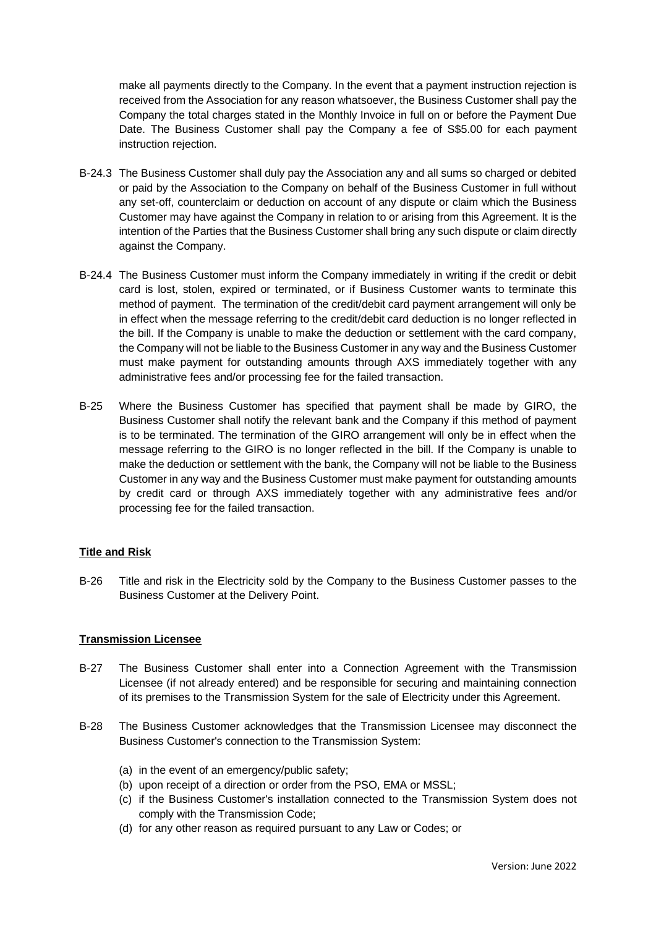make all payments directly to the Company. In the event that a payment instruction rejection is received from the Association for any reason whatsoever, the Business Customer shall pay the Company the total charges stated in the Monthly Invoice in full on or before the Payment Due Date. The Business Customer shall pay the Company a fee of S\$5.00 for each payment instruction rejection.

- B-24.3 The Business Customer shall duly pay the Association any and all sums so charged or debited or paid by the Association to the Company on behalf of the Business Customer in full without any set-off, counterclaim or deduction on account of any dispute or claim which the Business Customer may have against the Company in relation to or arising from this Agreement. It is the intention of the Parties that the Business Customer shall bring any such dispute or claim directly against the Company.
- B-24.4 The Business Customer must inform the Company immediately in writing if the credit or debit card is lost, stolen, expired or terminated, or if Business Customer wants to terminate this method of payment. The termination of the credit/debit card payment arrangement will only be in effect when the message referring to the credit/debit card deduction is no longer reflected in the bill. If the Company is unable to make the deduction or settlement with the card company, the Company will not be liable to the Business Customer in any way and the Business Customer must make payment for outstanding amounts through AXS immediately together with any administrative fees and/or processing fee for the failed transaction.
- B-25 Where the Business Customer has specified that payment shall be made by GIRO, the Business Customer shall notify the relevant bank and the Company if this method of payment is to be terminated. The termination of the GIRO arrangement will only be in effect when the message referring to the GIRO is no longer reflected in the bill. If the Company is unable to make the deduction or settlement with the bank, the Company will not be liable to the Business Customer in any way and the Business Customer must make payment for outstanding amounts by credit card or through AXS immediately together with any administrative fees and/or processing fee for the failed transaction.

## **Title and Risk**

B-26 Title and risk in the Electricity sold by the Company to the Business Customer passes to the Business Customer at the Delivery Point.

## **Transmission Licensee**

- B-27 The Business Customer shall enter into a Connection Agreement with the Transmission Licensee (if not already entered) and be responsible for securing and maintaining connection of its premises to the Transmission System for the sale of Electricity under this Agreement.
- B-28 The Business Customer acknowledges that the Transmission Licensee may disconnect the Business Customer's connection to the Transmission System:
	- (a) in the event of an emergency/public safety;
	- (b) upon receipt of a direction or order from the PSO, EMA or MSSL;
	- (c) if the Business Customer's installation connected to the Transmission System does not comply with the Transmission Code;
	- (d) for any other reason as required pursuant to any Law or Codes; or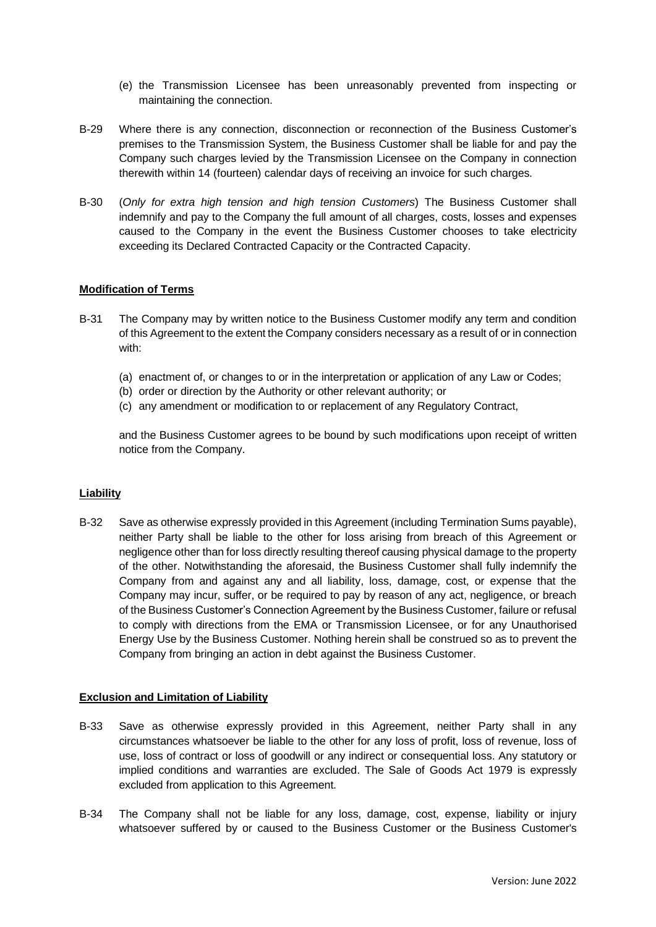- (e) the Transmission Licensee has been unreasonably prevented from inspecting or maintaining the connection.
- B-29 Where there is any connection, disconnection or reconnection of the Business Customer's premises to the Transmission System, the Business Customer shall be liable for and pay the Company such charges levied by the Transmission Licensee on the Company in connection therewith within 14 (fourteen) calendar days of receiving an invoice for such charges.
- B-30 (*Only for extra high tension and high tension Customers*) The Business Customer shall indemnify and pay to the Company the full amount of all charges, costs, losses and expenses caused to the Company in the event the Business Customer chooses to take electricity exceeding its Declared Contracted Capacity or the Contracted Capacity.

## **Modification of Terms**

- B-31 The Company may by written notice to the Business Customer modify any term and condition of this Agreement to the extent the Company considers necessary as a result of or in connection with:
	- (a) enactment of, or changes to or in the interpretation or application of any Law or Codes;
	- (b) order or direction by the Authority or other relevant authority; or
	- (c) any amendment or modification to or replacement of any Regulatory Contract,

and the Business Customer agrees to be bound by such modifications upon receipt of written notice from the Company.

#### **Liability**

B-32 Save as otherwise expressly provided in this Agreement (including Termination Sums payable), neither Party shall be liable to the other for loss arising from breach of this Agreement or negligence other than for loss directly resulting thereof causing physical damage to the property of the other. Notwithstanding the aforesaid, the Business Customer shall fully indemnify the Company from and against any and all liability, loss, damage, cost, or expense that the Company may incur, suffer, or be required to pay by reason of any act, negligence, or breach of the Business Customer's Connection Agreement by the Business Customer, failure or refusal to comply with directions from the EMA or Transmission Licensee, or for any Unauthorised Energy Use by the Business Customer. Nothing herein shall be construed so as to prevent the Company from bringing an action in debt against the Business Customer.

#### **Exclusion and Limitation of Liability**

- B-33 Save as otherwise expressly provided in this Agreement, neither Party shall in any circumstances whatsoever be liable to the other for any loss of profit, loss of revenue, loss of use, loss of contract or loss of goodwill or any indirect or consequential loss. Any statutory or implied conditions and warranties are excluded. The Sale of Goods Act 1979 is expressly excluded from application to this Agreement.
- B-34 The Company shall not be liable for any loss, damage, cost, expense, liability or injury whatsoever suffered by or caused to the Business Customer or the Business Customer's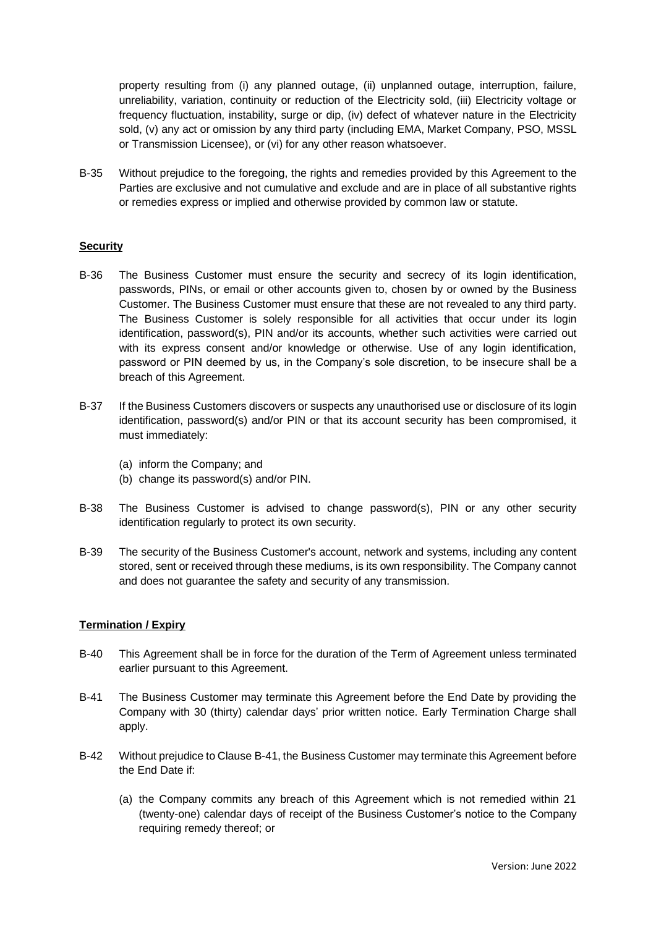property resulting from (i) any planned outage, (ii) unplanned outage, interruption, failure, unreliability, variation, continuity or reduction of the Electricity sold, (iii) Electricity voltage or frequency fluctuation, instability, surge or dip, (iv) defect of whatever nature in the Electricity sold, (v) any act or omission by any third party (including EMA, Market Company, PSO, MSSL or Transmission Licensee), or (vi) for any other reason whatsoever.

B-35 Without prejudice to the foregoing, the rights and remedies provided by this Agreement to the Parties are exclusive and not cumulative and exclude and are in place of all substantive rights or remedies express or implied and otherwise provided by common law or statute.

#### **Security**

- B-36 The Business Customer must ensure the security and secrecy of its login identification, passwords, PINs, or email or other accounts given to, chosen by or owned by the Business Customer. The Business Customer must ensure that these are not revealed to any third party. The Business Customer is solely responsible for all activities that occur under its login identification, password(s), PIN and/or its accounts, whether such activities were carried out with its express consent and/or knowledge or otherwise. Use of any login identification, password or PIN deemed by us, in the Company's sole discretion, to be insecure shall be a breach of this Agreement.
- B-37 If the Business Customers discovers or suspects any unauthorised use or disclosure of its login identification, password(s) and/or PIN or that its account security has been compromised, it must immediately:
	- (a) inform the Company; and
	- (b) change its password(s) and/or PIN.
- B-38 The Business Customer is advised to change password(s), PIN or any other security identification regularly to protect its own security.
- B-39 The security of the Business Customer's account, network and systems, including any content stored, sent or received through these mediums, is its own responsibility. The Company cannot and does not guarantee the safety and security of any transmission.

#### **Termination / Expiry**

- B-40 This Agreement shall be in force for the duration of the Term of Agreement unless terminated earlier pursuant to this Agreement.
- <span id="page-19-0"></span>B-41 The Business Customer may terminate this Agreement before the End Date by providing the Company with 30 (thirty) calendar days' prior written notice. Early Termination Charge shall apply.
- B-42 Without prejudice to Claus[e B-41,](#page-19-0) the Business Customer may terminate this Agreement before the End Date if:
	- (a) the Company commits any breach of this Agreement which is not remedied within 21 (twenty-one) calendar days of receipt of the Business Customer's notice to the Company requiring remedy thereof; or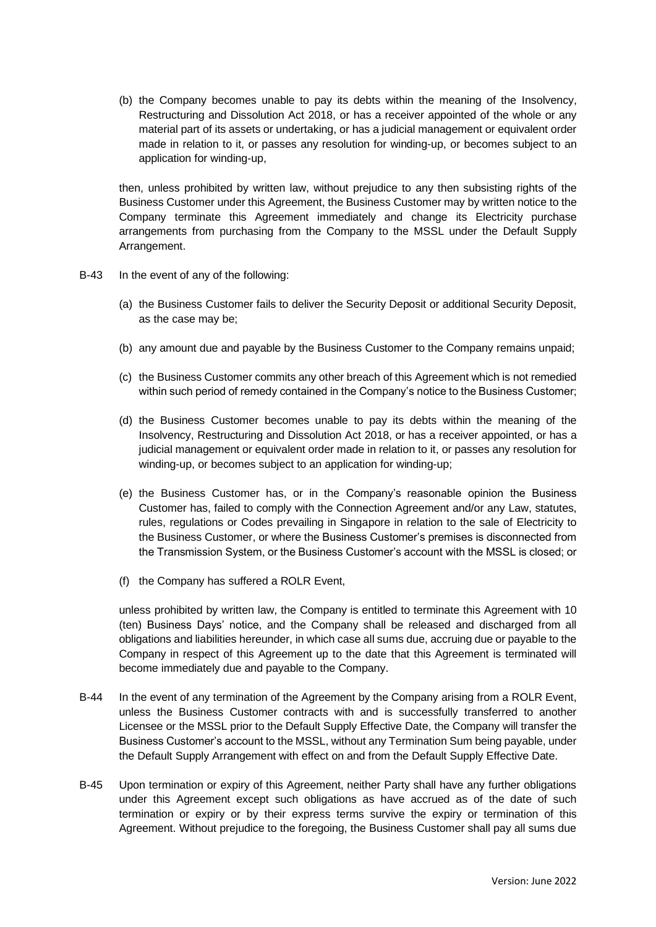(b) the Company becomes unable to pay its debts within the meaning of the Insolvency, Restructuring and Dissolution Act 2018, or has a receiver appointed of the whole or any material part of its assets or undertaking, or has a judicial management or equivalent order made in relation to it, or passes any resolution for winding-up, or becomes subject to an application for winding-up,

then, unless prohibited by written law, without prejudice to any then subsisting rights of the Business Customer under this Agreement, the Business Customer may by written notice to the Company terminate this Agreement immediately and change its Electricity purchase arrangements from purchasing from the Company to the MSSL under the Default Supply Arrangement.

- B-43 In the event of any of the following:
	- (a) the Business Customer fails to deliver the Security Deposit or additional Security Deposit, as the case may be;
	- (b) any amount due and payable by the Business Customer to the Company remains unpaid;
	- (c) the Business Customer commits any other breach of this Agreement which is not remedied within such period of remedy contained in the Company's notice to the Business Customer;
	- (d) the Business Customer becomes unable to pay its debts within the meaning of the Insolvency, Restructuring and Dissolution Act 2018, or has a receiver appointed, or has a judicial management or equivalent order made in relation to it, or passes any resolution for winding-up, or becomes subject to an application for winding-up;
	- (e) the Business Customer has, or in the Company's reasonable opinion the Business Customer has, failed to comply with the Connection Agreement and/or any Law, statutes, rules, regulations or Codes prevailing in Singapore in relation to the sale of Electricity to the Business Customer, or where the Business Customer's premises is disconnected from the Transmission System, or the Business Customer's account with the MSSL is closed; or
	- (f) the Company has suffered a ROLR Event,

unless prohibited by written law, the Company is entitled to terminate this Agreement with 10 (ten) Business Days' notice, and the Company shall be released and discharged from all obligations and liabilities hereunder, in which case all sums due, accruing due or payable to the Company in respect of this Agreement up to the date that this Agreement is terminated will become immediately due and payable to the Company.

- B-44 In the event of any termination of the Agreement by the Company arising from a ROLR Event, unless the Business Customer contracts with and is successfully transferred to another Licensee or the MSSL prior to the Default Supply Effective Date, the Company will transfer the Business Customer's account to the MSSL, without any Termination Sum being payable, under the Default Supply Arrangement with effect on and from the Default Supply Effective Date.
- B-45 Upon termination or expiry of this Agreement, neither Party shall have any further obligations under this Agreement except such obligations as have accrued as of the date of such termination or expiry or by their express terms survive the expiry or termination of this Agreement. Without prejudice to the foregoing, the Business Customer shall pay all sums due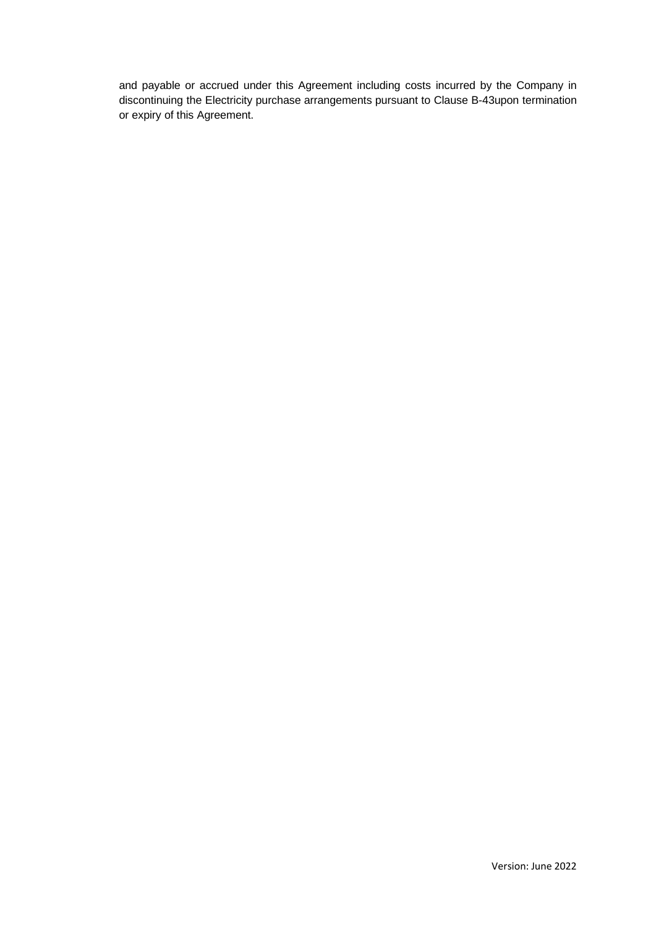and payable or accrued under this Agreement including costs incurred by the Company in discontinuing the Electricity purchase arrangements pursuant to Clause B-43upon termination or expiry of this Agreement.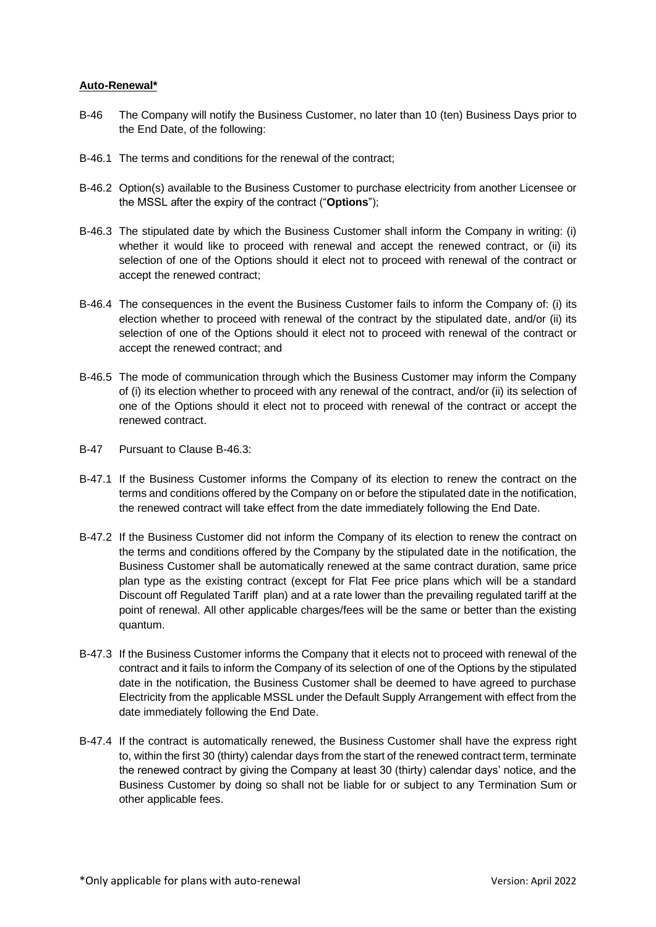## **Auto-Renewal\***

- B-46 The Company will notify the Business Customer, no later than 10 (ten) Business Days prior to the End Date, of the following:
- B-46.1 The terms and conditions for the renewal of the contract;
- B-46.2 Option(s) available to the Business Customer to purchase electricity from another Licensee or the MSSL after the expiry of the contract ("**Options**");
- B-46.3 The stipulated date by which the Business Customer shall inform the Company in writing: (i) whether it would like to proceed with renewal and accept the renewed contract, or (ii) its selection of one of the Options should it elect not to proceed with renewal of the contract or accept the renewed contract;
- B-46.4 The consequences in the event the Business Customer fails to inform the Company of: (i) its election whether to proceed with renewal of the contract by the stipulated date, and/or (ii) its selection of one of the Options should it elect not to proceed with renewal of the contract or accept the renewed contract; and
- B-46.5 The mode of communication through which the Business Customer may inform the Company of (i) its election whether to proceed with any renewal of the contract, and/or (ii) its selection of one of the Options should it elect not to proceed with renewal of the contract or accept the renewed contract.
- B-47 Pursuant to Clause B-46.3:
- B-47.1 If the Business Customer informs the Company of its election to renew the contract on the terms and conditions offered by the Company on or before the stipulated date in the notification, the renewed contract will take effect from the date immediately following the End Date.
- B-47.2 If the Business Customer did not inform the Company of its election to renew the contract on the terms and conditions offered by the Company by the stipulated date in the notification, the Business Customer shall be automatically renewed at the same contract duration, same price plan type as the existing contract (except for Flat Fee price plans which will be a standard Discount off Regulated Tariff plan) and at a rate lower than the prevailing regulated tariff at the point of renewal. All other applicable charges/fees will be the same or better than the existing quantum.
- B-47.3 If the Business Customer informs the Company that it elects not to proceed with renewal of the contract and it fails to inform the Company of its selection of one of the Options by the stipulated date in the notification, the Business Customer shall be deemed to have agreed to purchase Electricity from the applicable MSSL under the Default Supply Arrangement with effect from the date immediately following the End Date.
- B-47.4 If the contract is automatically renewed, the Business Customer shall have the express right to, within the first 30 (thirty) calendar days from the start of the renewed contract term, terminate the renewed contract by giving the Company at least 30 (thirty) calendar days' notice, and the Business Customer by doing so shall not be liable for or subject to any Termination Sum or other applicable fees.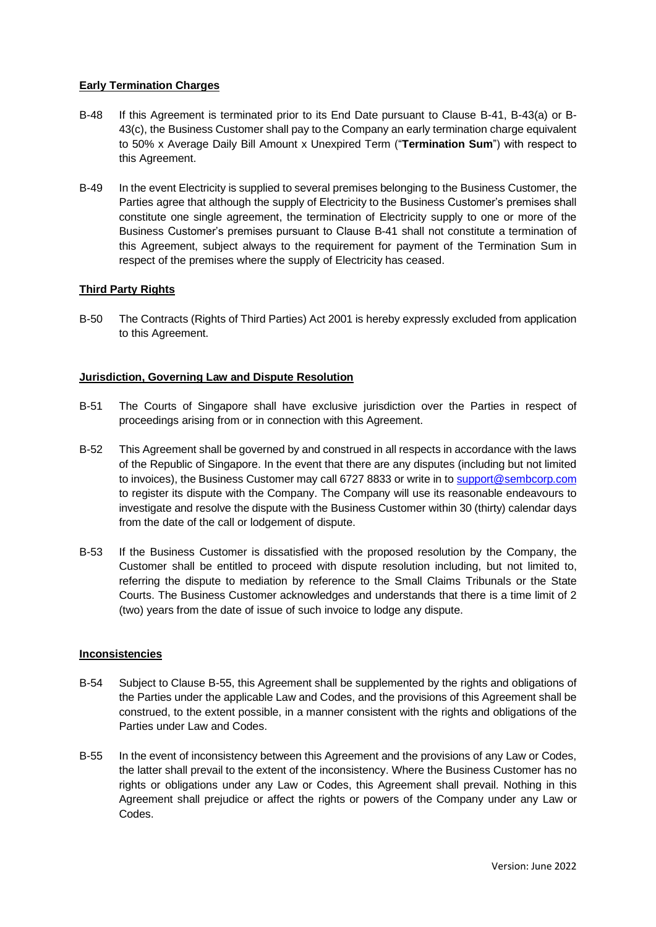## **Early Termination Charges**

- B-48 If this Agreement is terminated prior to its End Date pursuant to Clause [B-41,](#page-19-0) B-4[3\(a\)](#page-7-1) or B-4[3\(c\),](#page-7-3) the Business Customer shall pay to the Company an early termination charge equivalent to 50% x Average Daily Bill Amount x Unexpired Term ("**Termination Sum**") with respect to this Agreement.
- B-49 In the event Electricity is supplied to several premises belonging to the Business Customer, the Parties agree that although the supply of Electricity to the Business Customer's premises shall constitute one single agreement, the termination of Electricity supply to one or more of the Business Customer's premises pursuant to Clause [B-41](#page-19-0) shall not constitute a termination of this Agreement, subject always to the requirement for payment of the Termination Sum in respect of the premises where the supply of Electricity has ceased.

## **Third Party Rights**

B-50 The Contracts (Rights of Third Parties) Act 2001 is hereby expressly excluded from application to this Agreement.

#### **Jurisdiction, Governing Law and Dispute Resolution**

- B-51 The Courts of Singapore shall have exclusive jurisdiction over the Parties in respect of proceedings arising from or in connection with this Agreement.
- B-52 This Agreement shall be governed by and construed in all respects in accordance with the laws of the Republic of Singapore. In the event that there are any disputes (including but not limited to invoices), the Business Customer may call 6727 8833 or [write](file:///C:/Users/ramesh.tiwari/AppData/Local/Microsoft/Windows/Temporary%20Internet%20Files/Content.Outlook/C3YUO5EA/write) in t[o support@sembcorp.com](mailto:support@sembcorp.com) to register its dispute with the Company. The Company will use its reasonable endeavours to investigate and resolve the dispute with the Business Customer within 30 (thirty) calendar days from the date of the call or lodgement of dispute.
- B-53 If the Business Customer is dissatisfied with the proposed resolution by the Company, the Customer shall be entitled to proceed with dispute resolution including, but not limited to, referring the dispute to mediation by reference to the Small Claims Tribunals or the State Courts. The Business Customer acknowledges and understands that there is a time limit of 2 (two) years from the date of issue of such invoice to lodge any dispute.

#### **Inconsistencies**

- B-54 Subject to Clause [B-55,](#page-23-0) this Agreement shall be supplemented by the rights and obligations of the Parties under the applicable Law and Codes, and the provisions of this Agreement shall be construed, to the extent possible, in a manner consistent with the rights and obligations of the Parties under Law and Codes.
- <span id="page-23-0"></span>B-55 In the event of inconsistency between this Agreement and the provisions of any Law or Codes, the latter shall prevail to the extent of the inconsistency. Where the Business Customer has no rights or obligations under any Law or Codes, this Agreement shall prevail. Nothing in this Agreement shall prejudice or affect the rights or powers of the Company under any Law or Codes.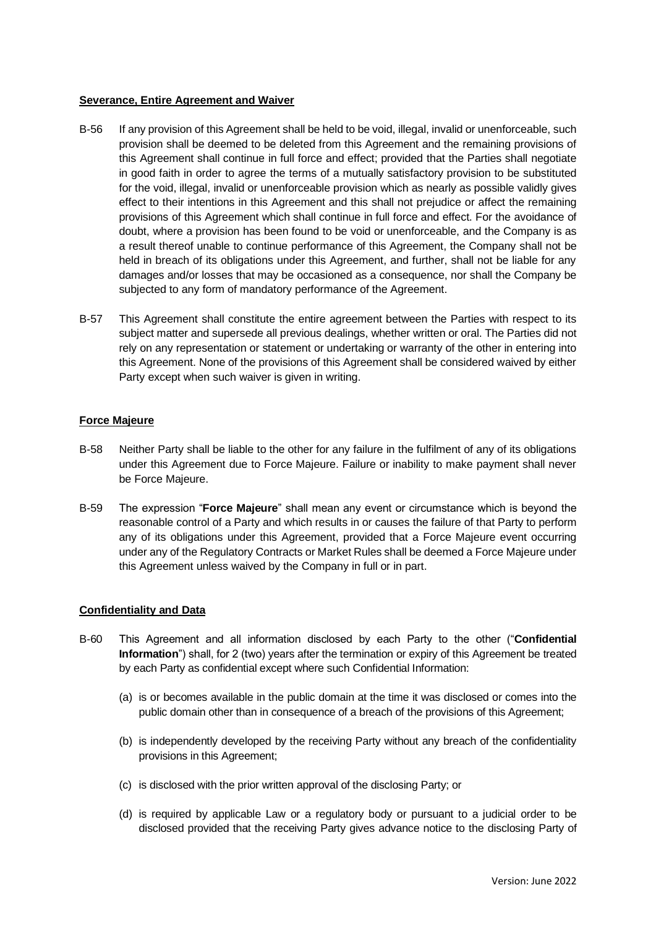#### **Severance, Entire Agreement and Waiver**

- B-56 If any provision of this Agreement shall be held to be void, illegal, invalid or unenforceable, such provision shall be deemed to be deleted from this Agreement and the remaining provisions of this Agreement shall continue in full force and effect; provided that the Parties shall negotiate in good faith in order to agree the terms of a mutually satisfactory provision to be substituted for the void, illegal, invalid or unenforceable provision which as nearly as possible validly gives effect to their intentions in this Agreement and this shall not prejudice or affect the remaining provisions of this Agreement which shall continue in full force and effect. For the avoidance of doubt, where a provision has been found to be void or unenforceable, and the Company is as a result thereof unable to continue performance of this Agreement, the Company shall not be held in breach of its obligations under this Agreement, and further, shall not be liable for any damages and/or losses that may be occasioned as a consequence, nor shall the Company be subjected to any form of mandatory performance of the Agreement.
- B-57 This Agreement shall constitute the entire agreement between the Parties with respect to its subject matter and supersede all previous dealings, whether written or oral. The Parties did not rely on any representation or statement or undertaking or warranty of the other in entering into this Agreement. None of the provisions of this Agreement shall be considered waived by either Party except when such waiver is given in writing.

## **Force Majeure**

- B-58 Neither Party shall be liable to the other for any failure in the fulfilment of any of its obligations under this Agreement due to Force Majeure. Failure or inability to make payment shall never be Force Majeure.
- B-59 The expression "**Force Majeure**" shall mean any event or circumstance which is beyond the reasonable control of a Party and which results in or causes the failure of that Party to perform any of its obligations under this Agreement, provided that a Force Majeure event occurring under any of the Regulatory Contracts or Market Rules shall be deemed a Force Majeure under this Agreement unless waived by the Company in full or in part.

#### **Confidentiality and Data**

- B-60 This Agreement and all information disclosed by each Party to the other ("**Confidential Information**") shall, for 2 (two) years after the termination or expiry of this Agreement be treated by each Party as confidential except where such Confidential Information:
	- (a) is or becomes available in the public domain at the time it was disclosed or comes into the public domain other than in consequence of a breach of the provisions of this Agreement;
	- (b) is independently developed by the receiving Party without any breach of the confidentiality provisions in this Agreement;
	- (c) is disclosed with the prior written approval of the disclosing Party; or
	- (d) is required by applicable Law or a regulatory body or pursuant to a judicial order to be disclosed provided that the receiving Party gives advance notice to the disclosing Party of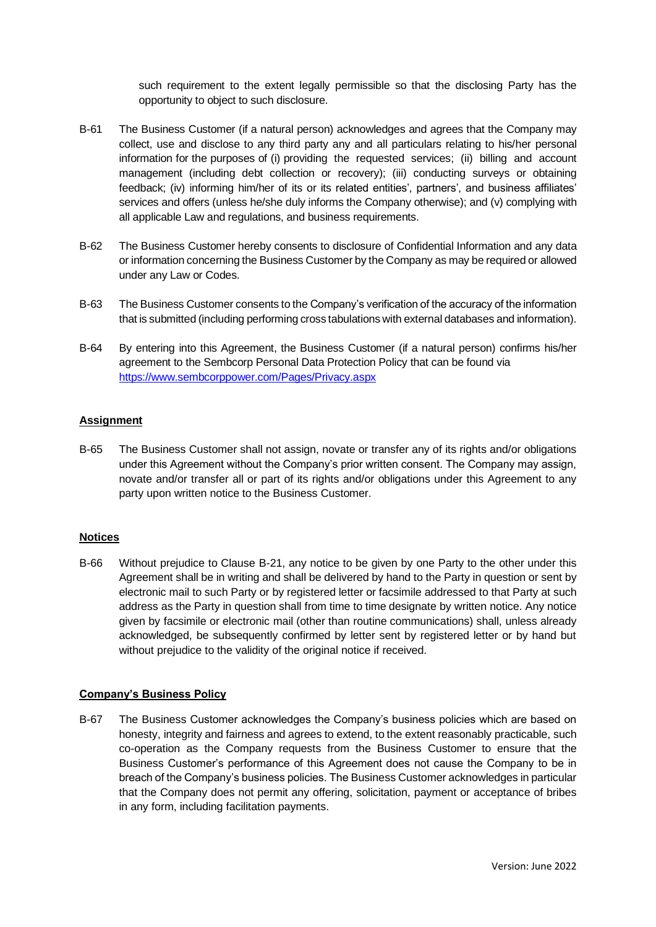such requirement to the extent legally permissible so that the disclosing Party has the opportunity to object to such disclosure.

- B-61 The Business Customer (if a natural person) acknowledges and agrees that the Company may collect, use and disclose to any third party any and all particulars relating to his/her personal information for the purposes of (i) providing the requested services; (ii) billing and account management (including debt collection or recovery); (iii) conducting surveys or obtaining feedback; (iv) informing him/her of its or its related entities', partners', and business affiliates' services and offers (unless he/she duly informs the Company otherwise); and (v) complying with all applicable Law and regulations, and business requirements.
- B-62 The Business Customer hereby consents to disclosure of Confidential Information and any data or information concerning the Business Customer by the Company as may be required or allowed under any Law or Codes.
- B-63 The Business Customer consents to the Company's verification of the accuracy of the information that is submitted (including performing cross tabulations with external databases and information).
- B-64 By entering into this Agreement, the Business Customer (if a natural person) confirms his/her agreement to the Sembcorp Personal Data Protection Policy that can be found via <https://www.sembcorppower.com/Pages/Privacy.aspx>

## **Assignment**

B-65 The Business Customer shall not assign, novate or transfer any of its rights and/or obligations under this Agreement without the Company's prior written consent. The Company may assign, novate and/or transfer all or part of its rights and/or obligations under this Agreement to any party upon written notice to the Business Customer.

## **Notices**

B-66 Without prejudice to Clause [B-21,](#page-16-0) any notice to be given by one Party to the other under this Agreement shall be in writing and shall be delivered by hand to the Party in question or sent by electronic mail to such Party or by registered letter or facsimile addressed to that Party at such address as the Party in question shall from time to time designate by written notice. Any notice given by facsimile or electronic mail (other than routine communications) shall, unless already acknowledged, be subsequently confirmed by letter sent by registered letter or by hand but without prejudice to the validity of the original notice if received.

## **Company's Business Policy**

B-67 The Business Customer acknowledges the Company's business policies which are based on honesty, integrity and fairness and agrees to extend, to the extent reasonably practicable, such co-operation as the Company requests from the Business Customer to ensure that the Business Customer's performance of this Agreement does not cause the Company to be in breach of the Company's business policies. The Business Customer acknowledges in particular that the Company does not permit any offering, solicitation, payment or acceptance of bribes in any form, including facilitation payments.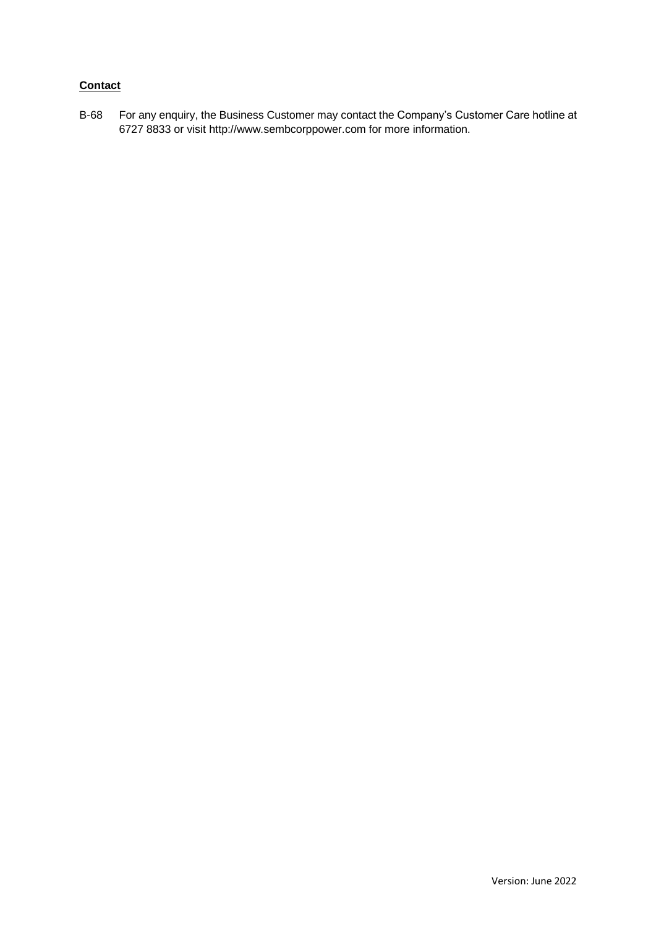## **Contact**

B-68 For any enquiry, the Business Customer may contact the Company's Customer Care hotline at 6727 8833 or visit http://www.sembcorppower.com for more information.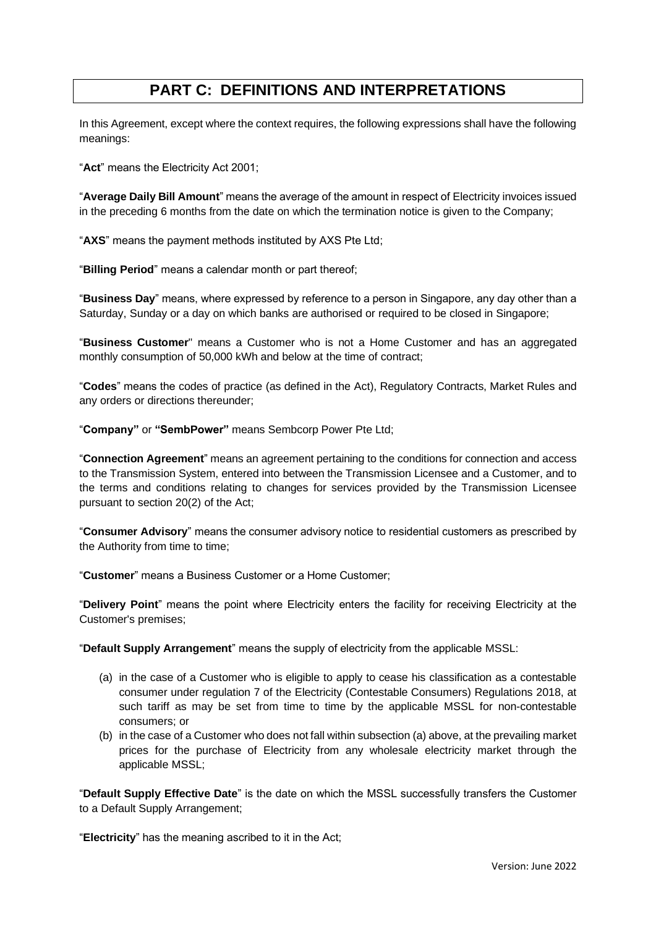# **PART C: DEFINITIONS AND INTERPRETATIONS**

<span id="page-27-0"></span>In this Agreement, except where the context requires, the following expressions shall have the following meanings:

"**Act**" means the Electricity Act 2001;

"**Average Daily Bill Amount**" means the average of the amount in respect of Electricity invoices issued in the preceding 6 months from the date on which the termination notice is given to the Company;

"**AXS**" means the payment methods instituted by AXS Pte Ltd;

"**Billing Period**" means a calendar month or part thereof;

"**Business Day**" means, where expressed by reference to a person in Singapore, any day other than a Saturday, Sunday or a day on which banks are authorised or required to be closed in Singapore;

"**Business Customer**" means a Customer who is not a Home Customer and has an aggregated monthly consumption of 50,000 kWh and below at the time of contract;

"**Codes**" means the codes of practice (as defined in the Act), Regulatory Contracts, Market Rules and any orders or directions thereunder;

"**Company"** or **"SembPower"** means Sembcorp Power Pte Ltd;

"**Connection Agreement**" means an agreement pertaining to the conditions for connection and access to the Transmission System, entered into between the Transmission Licensee and a Customer, and to the terms and conditions relating to changes for services provided by the Transmission Licensee pursuant to section 20(2) of the Act;

"**Consumer Advisory**" means the consumer advisory notice to residential customers as prescribed by the Authority from time to time;

"**Customer**" means a Business Customer or a Home Customer;

"**Delivery Point**" means the point where Electricity enters the facility for receiving Electricity at the Customer's premises;

"**Default Supply Arrangement**" means the supply of electricity from the applicable MSSL:

- (a) in the case of a Customer who is eligible to apply to cease his classification as a contestable consumer under regulation 7 of the Electricity (Contestable Consumers) Regulations 2018, at such tariff as may be set from time to time by the applicable MSSL for non-contestable consumers; or
- (b) in the case of a Customer who does not fall within subsection (a) above, at the prevailing market prices for the purchase of Electricity from any wholesale electricity market through the applicable MSSL;

"**Default Supply Effective Date**" is the date on which the MSSL successfully transfers the Customer to a Default Supply Arrangement;

"**Electricity**" has the meaning ascribed to it in the Act;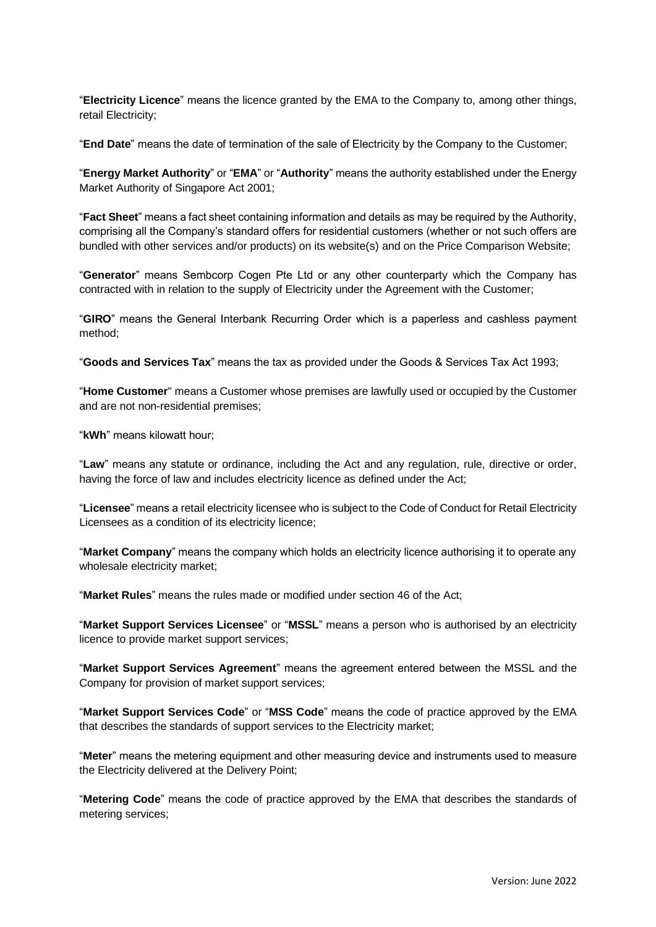"**Electricity Licence**" means the licence granted by the EMA to the Company to, among other things, retail Electricity;

"**End Date**" means the date of termination of the sale of Electricity by the Company to the Customer;

"**Energy Market Authority**" or "**EMA**" or "**Authority**" means the authority established under the Energy Market Authority of Singapore Act 2001;

"**Fact Sheet**" means a fact sheet containing information and details as may be required by the Authority, comprising all the Company's standard offers for residential customers (whether or not such offers are bundled with other services and/or products) on its website(s) and on the Price Comparison Website;

"**Generator**" means Sembcorp Cogen Pte Ltd or any other counterparty which the Company has contracted with in relation to the supply of Electricity under the Agreement with the Customer;

"**GIRO**" means the General Interbank Recurring Order which is a paperless and cashless payment method;

"**Goods and Services Tax**" means the tax as provided under the Goods & Services Tax Act 1993;

"**Home Customer**" means a Customer whose premises are lawfully used or occupied by the Customer and are not non-residential premises;

"**kWh**" means kilowatt hour;

"**Law**" means any statute or ordinance, including the Act and any regulation, rule, directive or order, having the force of law and includes electricity licence as defined under the Act;

"**Licensee**" means a retail electricity licensee who is subject to the Code of Conduct for Retail Electricity Licensees as a condition of its electricity licence;

"**Market Company**" means the company which holds an electricity licence authorising it to operate any wholesale electricity market;

"**Market Rules**" means the rules made or modified under section 46 of the Act;

"**Market Support Services Licensee**" or "**MSSL**" means a person who is authorised by an electricity licence to provide market support services;

"**Market Support Services Agreement**" means the agreement entered between the MSSL and the Company for provision of market support services;

"**Market Support Services Code**" or "**MSS Code**" means the code of practice approved by the EMA that describes the standards of support services to the Electricity market;

"**Meter**" means the metering equipment and other measuring device and instruments used to measure the Electricity delivered at the Delivery Point;

"**Metering Code**" means the code of practice approved by the EMA that describes the standards of metering services;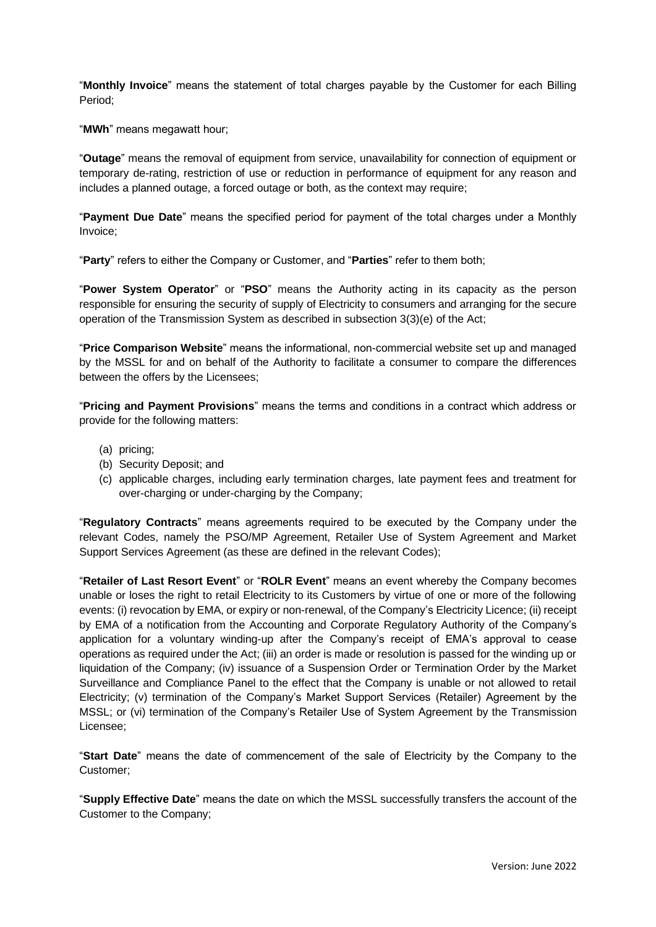"**Monthly Invoice**" means the statement of total charges payable by the Customer for each Billing Period;

"**MWh**" means megawatt hour;

"**Outage**" means the removal of equipment from service, unavailability for connection of equipment or temporary de-rating, restriction of use or reduction in performance of equipment for any reason and includes a planned outage, a forced outage or both, as the context may require;

"**Payment Due Date**" means the specified period for payment of the total charges under a Monthly Invoice;

"**Party**" refers to either the Company or Customer, and "**Parties**" refer to them both;

"**Power System Operator**" or "**PSO**" means the Authority acting in its capacity as the person responsible for ensuring the security of supply of Electricity to consumers and arranging for the secure operation of the Transmission System as described in subsection 3(3)(e) of the Act;

"**Price Comparison Website**" means the informational, non-commercial website set up and managed by the MSSL for and on behalf of the Authority to facilitate a consumer to compare the differences between the offers by the Licensees;

"**Pricing and Payment Provisions**" means the terms and conditions in a contract which address or provide for the following matters:

- (a) pricing;
- (b) Security Deposit; and
- (c) applicable charges, including early termination charges, late payment fees and treatment for over-charging or under-charging by the Company;

"**Regulatory Contracts**" means agreements required to be executed by the Company under the relevant Codes, namely the PSO/MP Agreement, Retailer Use of System Agreement and Market Support Services Agreement (as these are defined in the relevant Codes);

"**Retailer of Last Resort Event**" or "**ROLR Event**" means an event whereby the Company becomes unable or loses the right to retail Electricity to its Customers by virtue of one or more of the following events: (i) revocation by EMA, or expiry or non-renewal, of the Company's Electricity Licence; (ii) receipt by EMA of a notification from the Accounting and Corporate Regulatory Authority of the Company's application for a voluntary winding-up after the Company's receipt of EMA's approval to cease operations as required under the Act; (iii) an order is made or resolution is passed for the winding up or liquidation of the Company; (iv) issuance of a Suspension Order or Termination Order by the Market Surveillance and Compliance Panel to the effect that the Company is unable or not allowed to retail Electricity; (v) termination of the Company's Market Support Services (Retailer) Agreement by the MSSL; or (vi) termination of the Company's Retailer Use of System Agreement by the Transmission Licensee;

"**Start Date**" means the date of commencement of the sale of Electricity by the Company to the Customer;

"**Supply Effective Date**" means the date on which the MSSL successfully transfers the account of the Customer to the Company;